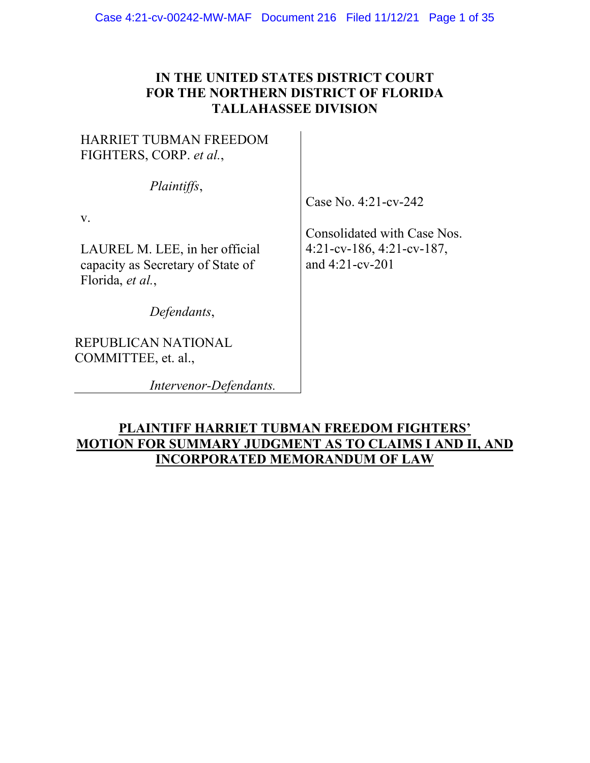# **IN THE UNITED STATES DISTRICT COURT FOR THE NORTHERN DISTRICT OF FLORIDA TALLAHASSEE DIVISION**

# HARRIET TUBMAN FREEDOM FIGHTERS, CORP. *et al.*, *Plaintiffs*, LAUREL M. LEE, in her official capacity as Secretary of State of Florida, *et al.*, *Defendants*, REPUBLICAN NATIONAL COMMITTEE, et. al.,

v.

*Intervenor-Defendants.*

Case No. 4:21-cv-242

Consolidated with Case Nos. 4:21-cv-186, 4:21-cv-187, and 4:21-cv-201

# **PLAINTIFF HARRIET TUBMAN FREEDOM FIGHTERS' MOTION FOR SUMMARY JUDGMENT AS TO CLAIMS I AND II, AND INCORPORATED MEMORANDUM OF LAW**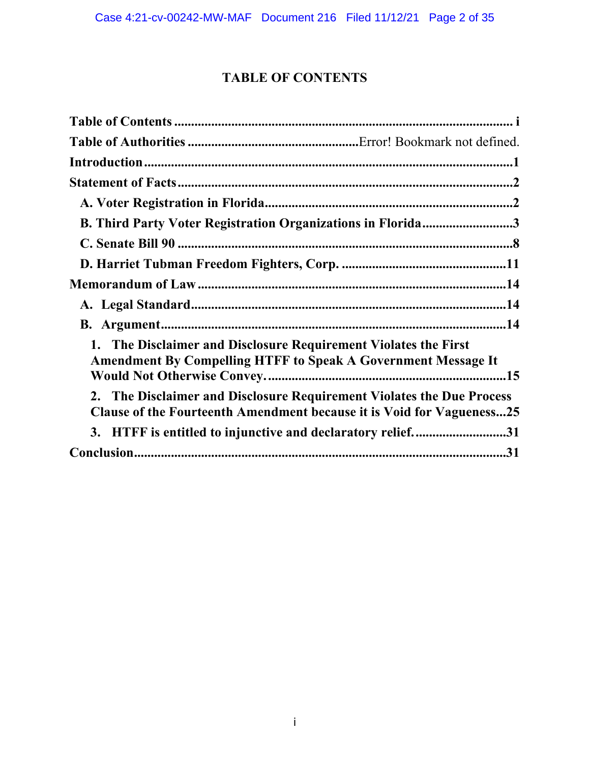# **TABLE OF CONTENTS**

<span id="page-1-0"></span>

| B. Third Party Voter Registration Organizations in Florida3                                                                                    |  |
|------------------------------------------------------------------------------------------------------------------------------------------------|--|
|                                                                                                                                                |  |
|                                                                                                                                                |  |
|                                                                                                                                                |  |
|                                                                                                                                                |  |
|                                                                                                                                                |  |
| 1. The Disclaimer and Disclosure Requirement Violates the First<br><b>Amendment By Compelling HTFF to Speak A Government Message It</b>        |  |
| 2. The Disclaimer and Disclosure Requirement Violates the Due Process<br>Clause of the Fourteenth Amendment because it is Void for Vagueness25 |  |
| 3. HTFF is entitled to injunctive and declaratory relief31                                                                                     |  |
|                                                                                                                                                |  |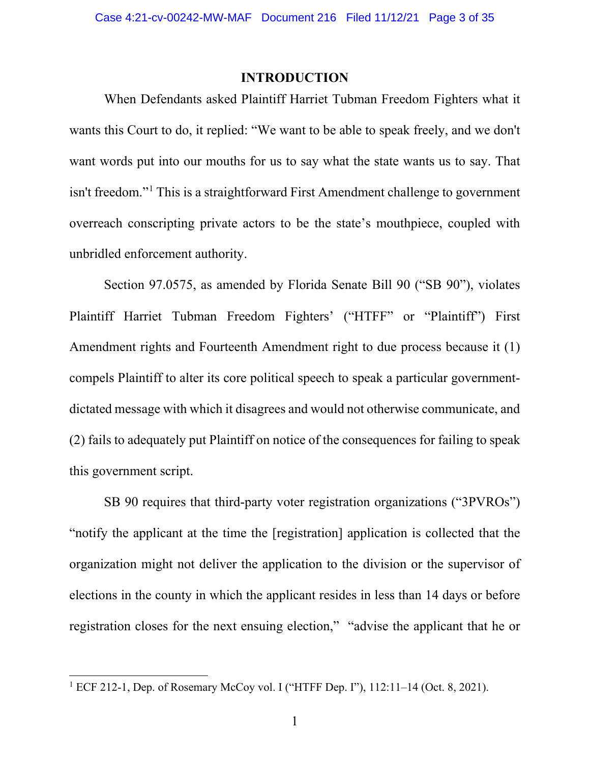#### **INTRODUCTION**

<span id="page-2-0"></span>When Defendants asked Plaintiff Harriet Tubman Freedom Fighters what it wants this Court to do, it replied: "We want to be able to speak freely, and we don't want words put into our mouths for us to say what the state wants us to say. That isn't freedom."[1](#page-2-1) This is a straightforward First Amendment challenge to government overreach conscripting private actors to be the state's mouthpiece, coupled with unbridled enforcement authority.

Section 97.0575, as amended by Florida Senate Bill 90 ("SB 90"), violates Plaintiff Harriet Tubman Freedom Fighters' ("HTFF" or "Plaintiff") First Amendment rights and Fourteenth Amendment right to due process because it (1) compels Plaintiff to alter its core political speech to speak a particular governmentdictated message with which it disagrees and would not otherwise communicate, and (2) fails to adequately put Plaintiff on notice of the consequences for failing to speak this government script.

SB 90 requires that third-party voter registration organizations ("3PVROs") "notify the applicant at the time the [registration] application is collected that the organization might not deliver the application to the division or the supervisor of elections in the county in which the applicant resides in less than 14 days or before registration closes for the next ensuing election," "advise the applicant that he or

<span id="page-2-1"></span><sup>1</sup> ECF 212-1, Dep. of Rosemary McCoy vol. I ("HTFF Dep. I"), 112:11–14 (Oct. 8, 2021).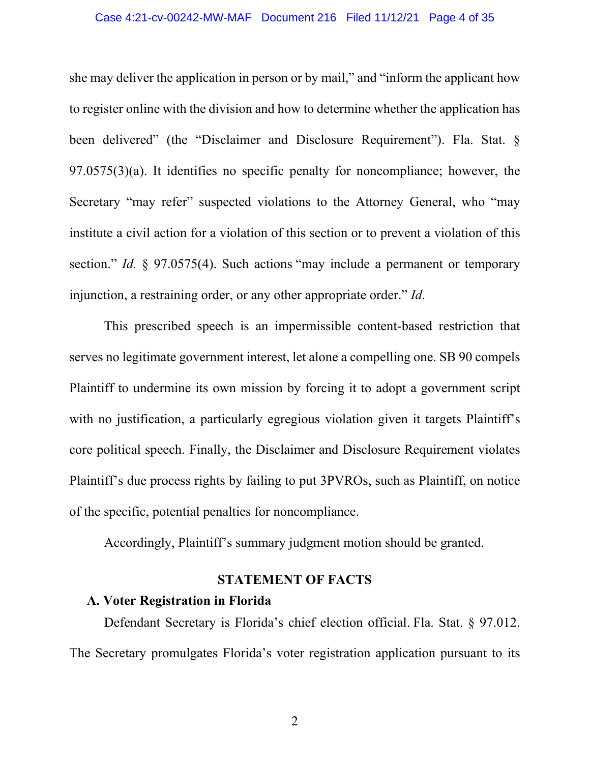she may deliver the application in person or by mail," and "inform the applicant how to register online with the division and how to determine whether the application has been delivered" (the "Disclaimer and Disclosure Requirement"). Fla. Stat. § 97.0575(3)(a). It identifies no specific penalty for noncompliance; however, the Secretary "may refer" suspected violations to the Attorney General, who "may institute a civil action for a violation of this section or to prevent a violation of this section." *Id.* § 97.0575(4). Such actions "may include a permanent or temporary injunction, a restraining order, or any other appropriate order." *Id.* 

This prescribed speech is an impermissible content-based restriction that serves no legitimate government interest, let alone a compelling one. SB 90 compels Plaintiff to undermine its own mission by forcing it to adopt a government script with no justification, a particularly egregious violation given it targets Plaintiff's core political speech. Finally, the Disclaimer and Disclosure Requirement violates Plaintiff's due process rights by failing to put 3PVROs, such as Plaintiff, on notice of the specific, potential penalties for noncompliance.

Accordingly, Plaintiff's summary judgment motion should be granted.

## **STATEMENT OF FACTS**

## <span id="page-3-1"></span><span id="page-3-0"></span>**A. Voter Registration in Florida**

Defendant Secretary is Florida's chief election official. Fla. Stat. § 97.012. The Secretary promulgates Florida's voter registration application pursuant to its

2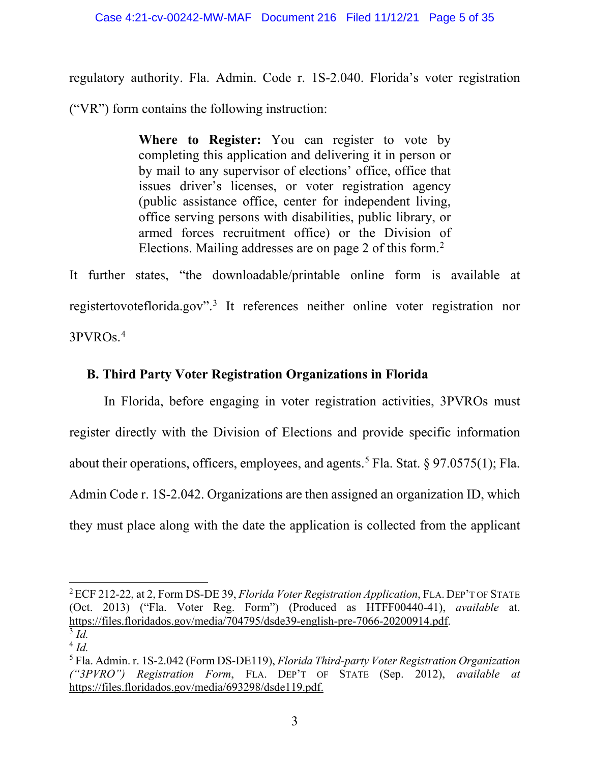regulatory authority. Fla. Admin. Code r. 1S-2.040. Florida's voter registration ("VR") form contains the following instruction:

> **Where to Register:** You can register to vote by completing this application and delivering it in person or by mail to any supervisor of elections' office, office that issues driver's licenses, or voter registration agency (public assistance office, center for independent living, office serving persons with disabilities, public library, or armed forces recruitment office) or the Division of Elections. Mailing addresses are on page [2](#page-4-1) of this form.<sup>2</sup>

It further states, "the downloadable/printable online form is available at registertovoteflorida.gov".[3](#page-4-2) It references neither online voter registration nor 3PVROs.[4](#page-4-3)

# <span id="page-4-0"></span>**B. Third Party Voter Registration Organizations in Florida**

In Florida, before engaging in voter registration activities, 3PVROs must register directly with the Division of Elections and provide specific information about their operations, officers, employees, and agents.<sup>[5](#page-4-4)</sup> Fla. Stat. § 97.0575(1); Fla. Admin Code r. 1S-2.042. Organizations are then assigned an organization ID, which they must place along with the date the application is collected from the applicant

<span id="page-4-1"></span><sup>2</sup>ECF 212-22, at 2, Form DS-DE 39, *Florida Voter Registration Application*, FLA. DEP'T OF STATE (Oct. 2013) ("Fla. Voter Reg. Form") (Produced as HTFF00440-41), *available* at. [https://files.floridados.gov/media/704795/dsde39-english-pre-7066-20200914.pdf.](https://files.floridados.gov/media/704795/dsde39-english-pre-7066-20200914.pdf) 3 *Id.*

<span id="page-4-3"></span><span id="page-4-2"></span><sup>4</sup> *Id.*

<span id="page-4-4"></span><sup>5</sup> Fla. Admin. r. 1S-2.042 (Form DS-DE119), *Florida Third-party Voter Registration Organization ("3PVRO") Registration Form*, FLA. DEP'T OF STATE (Sep. 2012), *available at* [https://files.floridados.gov/media/693298/dsde119.pdf.](https://files.floridados.gov/media/693298/dsde119.pdf)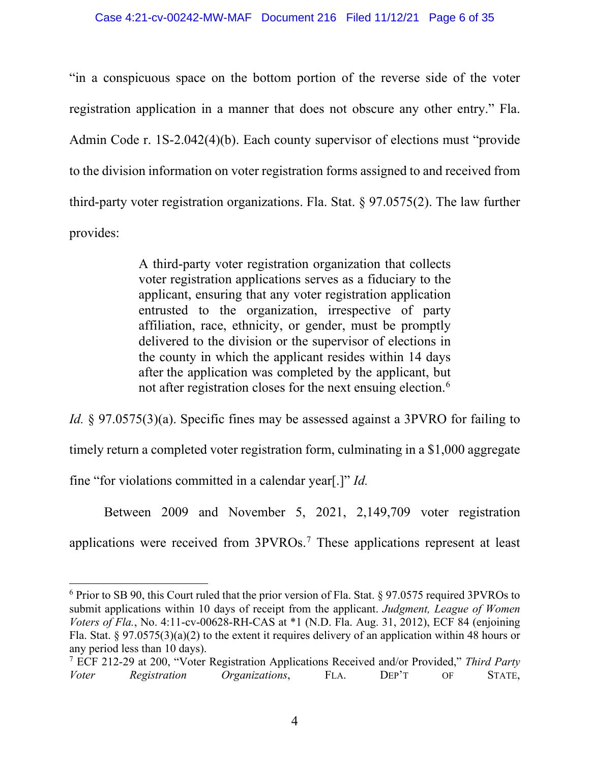"in a conspicuous space on the bottom portion of the reverse side of the voter registration application in a manner that does not obscure any other entry." Fla. Admin Code r. 1S-2.042(4)(b). Each county supervisor of elections must "provide to the division information on voter registration forms assigned to and received from third-party voter registration organizations. Fla. Stat. § 97.0575(2). The law further provides:

> A third-party voter registration organization that collects voter registration applications serves as a fiduciary to the applicant, ensuring that any voter registration application entrusted to the organization, irrespective of party affiliation, race, ethnicity, or gender, must be promptly delivered to the division or the supervisor of elections in the county in which the applicant resides within 14 days after the application was completed by the applicant, but not after registration closes for the next ensuing election.<sup>[6](#page-5-0)</sup>

*Id.* § 97.0575(3)(a). Specific fines may be assessed against a 3PVRO for failing to timely return a completed voter registration form, culminating in a \$1,000 aggregate fine "for violations committed in a calendar year[.]" *Id.*

Between 2009 and November 5, 2021, 2,149,709 voter registration applications were received from 3PVROs.[7](#page-5-1) These applications represent at least

<span id="page-5-0"></span> $6$  Prior to SB 90, this Court ruled that the prior version of Fla. Stat.  $8$  97.0575 required 3PVROs to submit applications within 10 days of receipt from the applicant. *Judgment, League of Women Voters of Fla.*, No. 4:11-cv-00628-RH-CAS at \*1 (N.D. Fla. Aug. 31, 2012), ECF 84 (enjoining Fla. Stat. § 97.0575(3)(a)(2) to the extent it requires delivery of an application within 48 hours or any period less than 10 days).

<span id="page-5-1"></span><sup>7</sup> ECF 212-29 at 200, "Voter Registration Applications Received and/or Provided," *Third Party Voter Registration Organizations*, FLA. DEP'T OF STATE,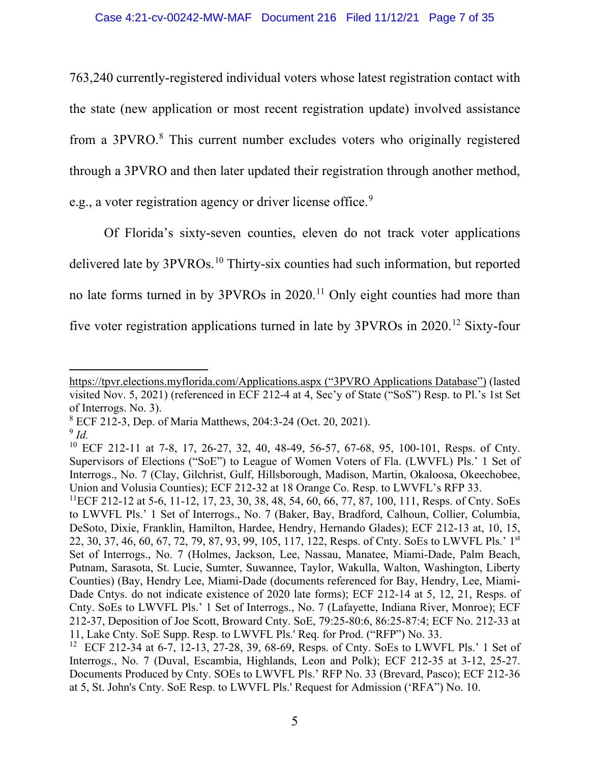763,240 currently-registered individual voters whose latest registration contact with the state (new application or most recent registration update) involved assistance from a 3PVRO.[8](#page-6-0) This current number excludes voters who originally registered through a 3PVRO and then later updated their registration through another method, e.g., a voter registration agency or driver license office.<sup>[9](#page-6-1)</sup>

Of Florida's sixty-seven counties, eleven do not track voter applications delivered late by 3PVROs. [10](#page-6-2) Thirty-six counties had such information, but reported no late forms turned in by 3PVROs in 2020. [11](#page-6-3) Only eight counties had more than five voter registration applications turned in late by 3PVROs in 2020. [12](#page-6-4) Sixty-four

<https://tpvr.elections.myflorida.com/Applications.aspx> ("3PVRO Applications Database") (lasted visited Nov. 5, 2021) (referenced in ECF 212-4 at 4, Sec'y of State ("SoS") Resp. to Pl.'s 1st Set of Interrogs. No. 3).

<span id="page-6-0"></span><sup>8</sup> ECF 212-3, Dep. of Maria Matthews, 204:3-24 (Oct. 20, 2021).

<span id="page-6-1"></span><sup>9</sup> *Id.*

<span id="page-6-2"></span><sup>&</sup>lt;sup>10</sup> ECF 212-11 at 7-8, 17, 26-27, 32, 40, 48-49, 56-57, 67-68, 95, 100-101, Resps. of Cnty. Supervisors of Elections ("SoE") to League of Women Voters of Fla. (LWVFL) Pls.' 1 Set of Interrogs., No. 7 (Clay, Gilchrist, Gulf, Hillsborough, Madison, Martin, Okaloosa, Okeechobee, Union and Volusia Counties); ECF 212-32 at 18 Orange Co. Resp. to LWVFL's RFP 33.

<span id="page-6-3"></span><sup>&</sup>lt;sup>11</sup>ECF 212-12 at 5-6, 11-12, 17, 23, 30, 38, 48, 54, 60, 66, 77, 87, 100, 111, Resps. of Cnty. SoEs to LWVFL Pls.' 1 Set of Interrogs., No. 7 (Baker, Bay, Bradford, Calhoun, Collier, Columbia, DeSoto, Dixie, Franklin, Hamilton, Hardee, Hendry, Hernando Glades); ECF 212-13 at, 10, 15, 22, 30, 37, 46, 60, 67, 72, 79, 87, 93, 99, 105, 117, 122, Resps. of Cnty. SoEs to LWVFL Pls.' 1st Set of Interrogs., No. 7 (Holmes, Jackson, Lee, Nassau, Manatee, Miami-Dade, Palm Beach, Putnam, Sarasota, St. Lucie, Sumter, Suwannee, Taylor, Wakulla, Walton, Washington, Liberty Counties) (Bay, Hendry Lee, Miami-Dade (documents referenced for Bay, Hendry, Lee, Miami-Dade Cntys, do not indicate existence of 2020 late forms); ECF 212-14 at 5, 12, 21, Resps. of Cnty. SoEs to LWVFL Pls.' 1 Set of Interrogs., No. 7 (Lafayette, Indiana River, Monroe); ECF 212-37, Deposition of Joe Scott, Broward Cnty. SoE, 79:25-80:6, 86:25-87:4; ECF No. 212-33 at 11, Lake Cnty. SoE Supp. Resp. to LWVFL Pls.' Req. for Prod. ("RFP") No. 33.

<span id="page-6-4"></span><sup>12</sup> ECF 212-34 at 6-7, 12-13, 27-28, 39, 68-69, Resps. of Cnty. SoEs to LWVFL Pls.' 1 Set of Interrogs., No. 7 (Duval, Escambia, Highlands, Leon and Polk); ECF 212-35 at 3-12, 25-27. Documents Produced by Cnty. SOEs to LWVFL Pls.' RFP No. 33 (Brevard, Pasco); ECF 212-36 at 5, St. John's Cnty. SoE Resp. to LWVFL Pls.' Request for Admission ('RFA") No. 10.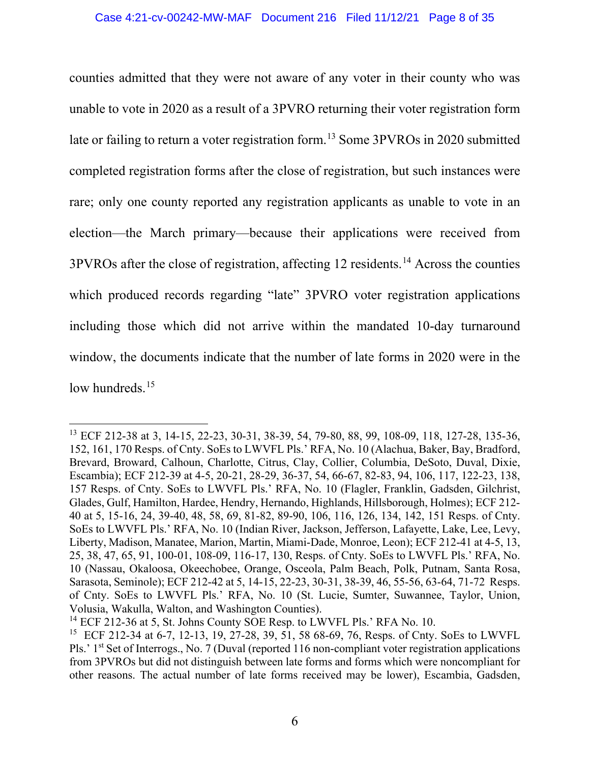counties admitted that they were not aware of any voter in their county who was unable to vote in 2020 as a result of a 3PVRO returning their voter registration form late or failing to return a voter registration form.<sup>[13](#page-7-0)</sup> Some 3PVROs in 2020 submitted completed registration forms after the close of registration, but such instances were rare; only one county reported any registration applicants as unable to vote in an election—the March primary—because their applications were received from 3PVROs after the close of registration, affecting 12 residents.[14](#page-7-1) Across the counties which produced records regarding "late" 3PVRO voter registration applications including those which did not arrive within the mandated 10-day turnaround window, the documents indicate that the number of late forms in 2020 were in the low hundreds.<sup>[15](#page-7-2)</sup>

<span id="page-7-0"></span><sup>13</sup> ECF 212-38 at 3, 14-15, 22-23, 30-31, 38-39, 54, 79-80, 88, 99, 108-09, 118, 127-28, 135-36, 152, 161, 170 Resps. of Cnty. SoEs to LWVFL Pls.' RFA, No. 10 (Alachua, Baker, Bay, Bradford, Brevard, Broward, Calhoun, Charlotte, Citrus, Clay, Collier, Columbia, DeSoto, Duval, Dixie, Escambia); ECF 212-39 at 4-5, 20-21, 28-29, 36-37, 54, 66-67, 82-83, 94, 106, 117, 122-23, 138, 157 Resps. of Cnty. SoEs to LWVFL Pls.' RFA, No. 10 (Flagler, Franklin, Gadsden, Gilchrist, Glades, Gulf, Hamilton, Hardee, Hendry, Hernando, Highlands, Hillsborough, Holmes); ECF 212- 40 at 5, 15-16, 24, 39-40, 48, 58, 69, 81-82, 89-90, 106, 116, 126, 134, 142, 151 Resps. of Cnty. SoEs to LWVFL Pls.' RFA, No. 10 (Indian River, Jackson, Jefferson, Lafayette, Lake, Lee, Levy, Liberty, Madison, Manatee, Marion, Martin, Miami-Dade, Monroe, Leon); ECF 212-41 at 4-5, 13, 25, 38, 47, 65, 91, 100-01, 108-09, 116-17, 130, Resps. of Cnty. SoEs to LWVFL Pls.' RFA, No. 10 (Nassau, Okaloosa, Okeechobee, Orange, Osceola, Palm Beach, Polk, Putnam, Santa Rosa, Sarasota, Seminole); ECF 212-42 at 5, 14-15, 22-23, 30-31, 38-39, 46, 55-56, 63-64, 71-72 Resps. of Cnty. SoEs to LWVFL Pls.' RFA, No. 10 (St. Lucie, Sumter, Suwannee, Taylor, Union, Volusia, Wakulla, Walton, and Washington Counties).

<span id="page-7-1"></span><sup>&</sup>lt;sup>14</sup> ECF 212-36 at 5, St. Johns County SOE Resp. to LWVFL Pls.' RFA No. 10.

<span id="page-7-2"></span><sup>15</sup> ECF 212-34 at 6-7, 12-13, 19, 27-28, 39, 51, 58 68-69, 76, Resps. of Cnty. SoEs to LWVFL Pls.' 1<sup>st</sup> Set of Interrogs., No. 7 (Duval (reported 116 non-compliant voter registration applications from 3PVROs but did not distinguish between late forms and forms which were noncompliant for other reasons. The actual number of late forms received may be lower), Escambia, Gadsden,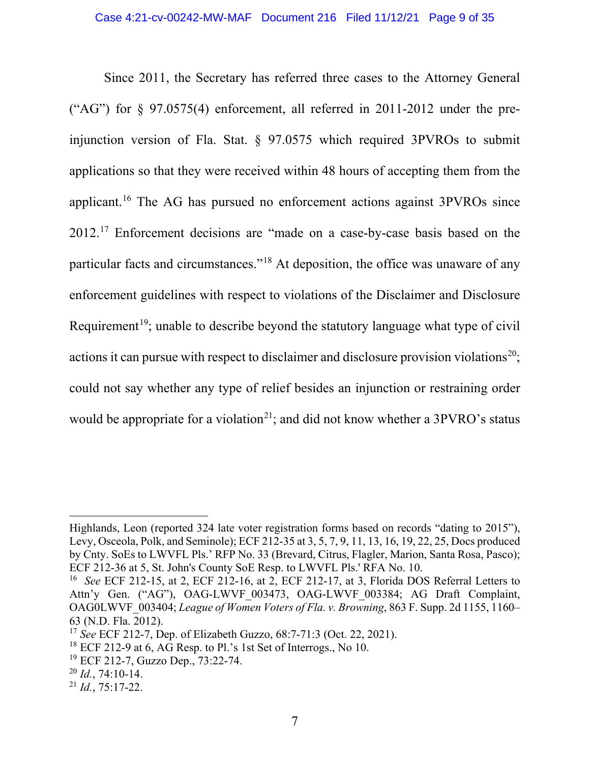Since 2011, the Secretary has referred three cases to the Attorney General ("AG") for  $\S$  97.0575(4) enforcement, all referred in 2011-2012 under the preinjunction version of Fla. Stat. § 97.0575 which required 3PVROs to submit applications so that they were received within 48 hours of accepting them from the applicant. [16](#page-8-0) The AG has pursued no enforcement actions against 3PVROs since 2012.<sup>[17](#page-8-1)</sup> Enforcement decisions are "made on a case-by-case basis based on the particular facts and circumstances."[18](#page-8-2) At deposition, the office was unaware of any enforcement guidelines with respect to violations of the Disclaimer and Disclosure Requirement<sup>19</sup>; unable to describe beyond the statutory language what type of civil actions it can pursue with respect to disclaimer and disclosure provision violations<sup>[20](#page-8-4)</sup>; could not say whether any type of relief besides an injunction or restraining order would be appropriate for a violation<sup>[21](#page-8-5)</sup>; and did not know whether a  $3PVRO's$  status

Highlands, Leon (reported 324 late voter registration forms based on records "dating to 2015"), Levy, Osceola, Polk, and Seminole); ECF 212-35 at 3, 5, 7, 9, 11, 13, 16, 19, 22, 25, Docs produced by Cnty. SoEs to LWVFL Pls.' RFP No. 33 (Brevard, Citrus, Flagler, Marion, Santa Rosa, Pasco); ECF 212-36 at 5, St. John's County SoE Resp. to LWVFL Pls.' RFA No. 10.

<span id="page-8-0"></span><sup>16</sup> *See* ECF 212-15, at 2, ECF 212-16, at 2, ECF 212-17, at 3, Florida DOS Referral Letters to Attn'y Gen. ("AG"), OAG-LWVF 003473, OAG-LWVF 003384; AG Draft Complaint, OAG0LWVF\_003404; *League of Women Voters of Fla. v. Browning*, 863 F. Supp. 2d 1155, 1160– 63 (N.D. Fla. 2012).

<span id="page-8-1"></span><sup>17</sup> *See* ECF 212-7, Dep. of Elizabeth Guzzo, 68:7-71:3 (Oct. 22, 2021).

<span id="page-8-2"></span> $18$  ECF 212-9 at 6, AG Resp. to Pl.'s 1st Set of Interrogs., No 10.

<span id="page-8-3"></span><sup>19</sup> ECF 212-7, Guzzo Dep., 73:22-74.

<span id="page-8-4"></span><sup>20</sup> *Id.*, 74:10-14.

<span id="page-8-5"></span><sup>21</sup> *Id.*, 75:17-22.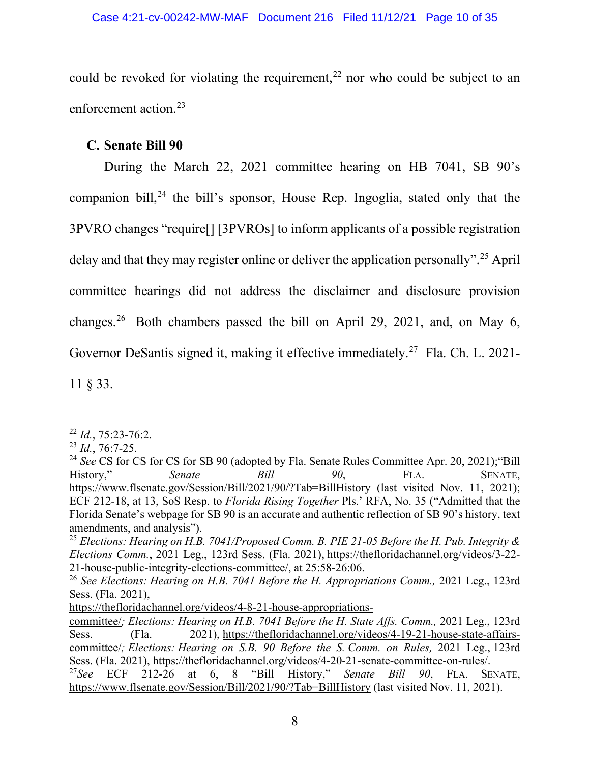could be revoked for violating the requirement,<sup>[22](#page-9-1)</sup> nor who could be subject to an enforcement action.[23](#page-9-2)

# <span id="page-9-0"></span>**C. Senate Bill 90**

During the March 22, 2021 committee hearing on HB 7041, SB 90's companion bill, [24](#page-9-3) the bill's sponsor, House Rep. Ingoglia, stated only that the 3PVRO changes "require[] [3PVROs] to inform applicants of a possible registration delay and that they may register online or deliver the application personally".<sup>[25](#page-9-4)</sup> April committee hearings did not address the disclaimer and disclosure provision changes.[26](#page-9-5) Both chambers passed the bill on April 29, 2021, and, on May 6, Governor DeSantis signed it, making it effective immediately.<sup>27</sup> Fla. Ch. L. 2021-11 § 33.

<span id="page-9-1"></span><sup>22</sup> *Id.*, 75:23-76:2.

<span id="page-9-2"></span><sup>23</sup> *Id.*, 76:7-25.

<span id="page-9-3"></span><sup>&</sup>lt;sup>24</sup> See CS for CS for CS for SB 90 (adopted by Fla. Senate Rules Committee Apr. 20, 2021); "Bill History," *Senate Bill 90*, FLA. SENATE, <https://www.flsenate.gov/Session/Bill/2021/90/?Tab=BillHistory> (last visited Nov. 11, 2021); ECF 212-18, at 13, SoS Resp. to *Florida Rising Together* Pls.' RFA, No. 35 ("Admitted that the Florida Senate's webpage for SB 90 is an accurate and authentic reflection of SB 90's history, text amendments, and analysis").

<span id="page-9-4"></span><sup>25</sup> *Elections: Hearing on H.B. 7041/Proposed Comm. B. PIE 21-05 Before the H. Pub. Integrity & Elections Comm.*, 2021 Leg., 123rd Sess. (Fla. 2021), [https://thefloridachannel.org/videos/3-22-](https://thefloridachannel.org/videos/3-22-21-house-public-integrity-elections-committee/) [21-house-public-integrity-elections-committee/,](https://thefloridachannel.org/videos/3-22-21-house-public-integrity-elections-committee/) at 25:58-26:06.

<span id="page-9-5"></span><sup>&</sup>lt;sup>26</sup> See Elections: *Hearing on H.B. 7041 Before the H. Appropriations Comm.*, 2021 Leg., 123rd Sess. (Fla. 2021),

[https://thefloridachannel.org/videos/4-8-21-house-appropriations-](https://thefloridachannel.org/videos/4-8-21-house-appropriations-committee/)

[committee/](https://thefloridachannel.org/videos/4-8-21-house-appropriations-committee/)*; Elections: Hearing on H.B. 7041 Before the H. State Affs. Comm.,* 2021 Leg., 123rd Sess. (Fla. 2021), [https://thefloridachannel.org/videos/4-19-21-house-state-affairs](https://thefloridachannel.org/videos/4-19-21-house-state-affairs-committee/)[committee/](https://thefloridachannel.org/videos/4-19-21-house-state-affairs-committee/)*; Elections: Hearing on S.B. 90 Before the S. Comm. on Rules,* 2021 Leg., 123rd Sess. (Fla. 2021), [https://thefloridachannel.org/videos/4-20-21-senate-committee-on-rules/.](https://thefloridachannel.org/videos/4-20-21-senate-committee-on-rules/)<br><sup>27</sup>See ECF 212-26 at 6, 8 "Bill History," Senate Bill 90, FLA. SE

<span id="page-9-6"></span>at 6, 8 "Bill History," *Senate Bill 90*, FLA. SENATE, <https://www.flsenate.gov/Session/Bill/2021/90/?Tab=BillHistory> (last visited Nov. 11, 2021).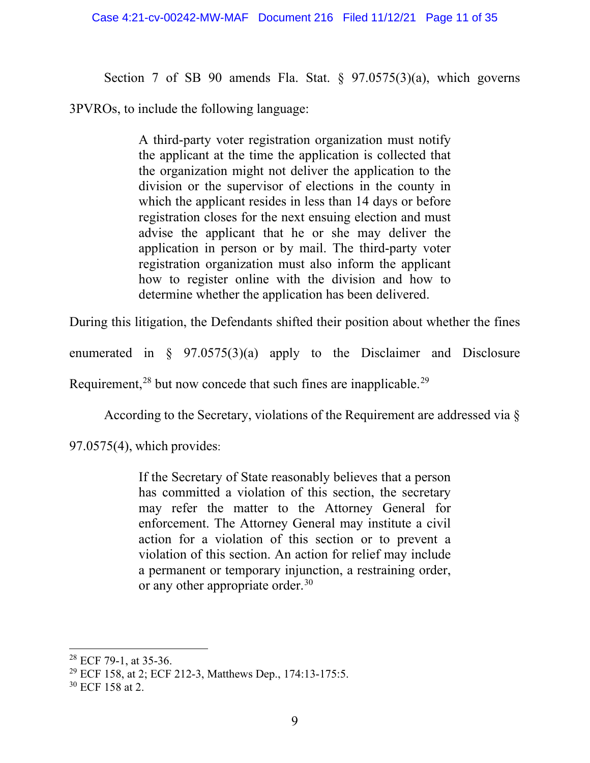Section 7 of SB 90 amends Fla. Stat. § 97.0575(3)(a), which governs

3PVROs, to include the following language:

A third-party voter registration organization must notify the applicant at the time the application is collected that the organization might not deliver the application to the division or the supervisor of elections in the county in which the applicant resides in less than 14 days or before registration closes for the next ensuing election and must advise the applicant that he or she may deliver the application in person or by mail. The third-party voter registration organization must also inform the applicant how to register online with the division and how to determine whether the application has been delivered.

During this litigation, the Defendants shifted their position about whether the fines

enumerated in  $\S$  97.0575(3)(a) apply to the Disclaimer and Disclosure

Requirement,<sup>[28](#page-10-0)</sup> but now concede that such fines are inapplicable.<sup>[29](#page-10-1)</sup>

According to the Secretary, violations of the Requirement are addressed via §

97.0575(4), which provides:

If the Secretary of State reasonably believes that a person has committed a violation of this section, the secretary may refer the matter to the Attorney General for enforcement. The Attorney General may institute a civil action for a violation of this section or to prevent a violation of this section. An action for relief may include a permanent or temporary injunction, a restraining order, or any other appropriate order.<sup>[30](#page-10-2)</sup>

<span id="page-10-0"></span><sup>28</sup> ECF 79-1, at 35-36.

<span id="page-10-1"></span><sup>29</sup> ECF 158, at 2; ECF 212-3, Matthews Dep., 174:13-175:5.

<span id="page-10-2"></span><sup>30</sup> ECF 158 at 2.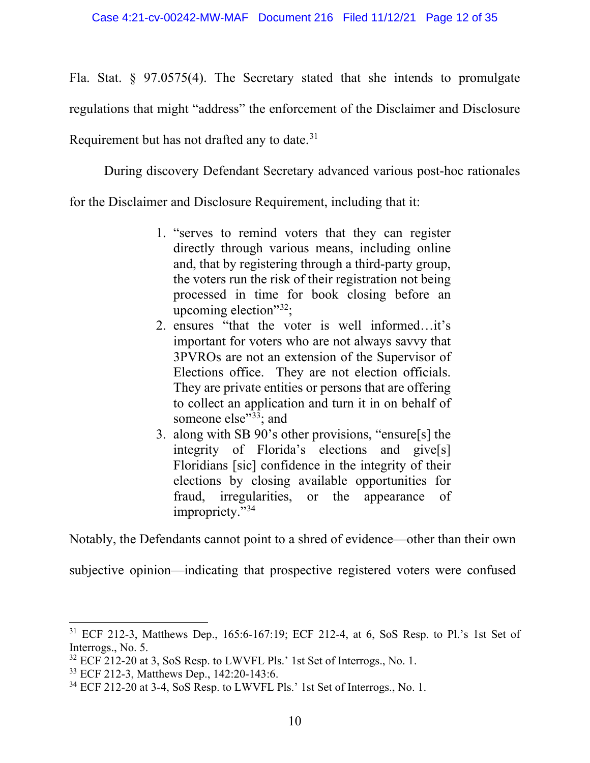Fla. Stat. § 97.0575(4). The Secretary stated that she intends to promulgate regulations that might "address" the enforcement of the Disclaimer and Disclosure Requirement but has not drafted any to date.<sup>[31](#page-11-0)</sup>

During discovery Defendant Secretary advanced various post-hoc rationales

for the Disclaimer and Disclosure Requirement, including that it:

- 1. "serves to remind voters that they can register directly through various means, including online and, that by registering through a third-party group, the voters run the risk of their registration not being processed in time for book closing before an upcoming election" $32$ ;
- 2. ensures "that the voter is well informed…it's important for voters who are not always savvy that 3PVROs are not an extension of the Supervisor of Elections office. They are not election officials. They are private entities or persons that are offering to collect an application and turn it in on behalf of someone else"<sup>33</sup>; and
- 3. along with SB 90's other provisions, "ensure[s] the integrity of Florida's elections and give[s] Floridians [sic] confidence in the integrity of their elections by closing available opportunities for fraud, irregularities, or the appearance of impropriety."[34](#page-11-3)

Notably, the Defendants cannot point to a shred of evidence—other than their own

subjective opinion—indicating that prospective registered voters were confused

<span id="page-11-0"></span><sup>31</sup> ECF 212-3, Matthews Dep., 165:6-167:19; ECF 212-4, at 6, SoS Resp. to Pl.'s 1st Set of Interrogs., No. 5.

<span id="page-11-1"></span><sup>&</sup>lt;sup>32</sup> ECF 212-20 at 3, SoS Resp. to LWVFL Pls.' 1st Set of Interrogs., No. 1.

<span id="page-11-2"></span><sup>33</sup> ECF 212-3, Matthews Dep., 142:20-143:6.

<span id="page-11-3"></span><sup>34</sup> ECF 212-20 at 3-4, SoS Resp. to LWVFL Pls.' 1st Set of Interrogs., No. 1.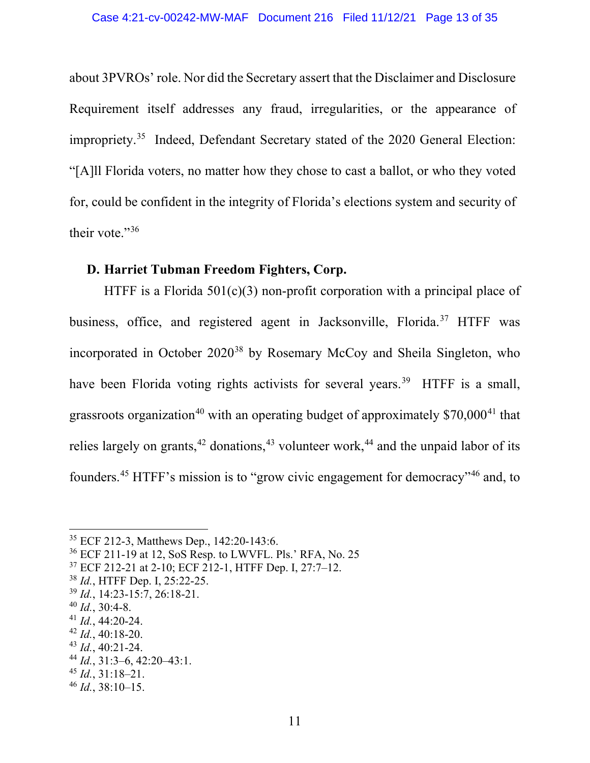about 3PVROs' role. Nor did the Secretary assert that the Disclaimer and Disclosure Requirement itself addresses any fraud, irregularities, or the appearance of impropriety.[35](#page-12-1) Indeed, Defendant Secretary stated of the 2020 General Election: "[A]ll Florida voters, no matter how they chose to cast a ballot, or who they voted for, could be confident in the integrity of Florida's elections system and security of their vote."[36](#page-12-2)

## <span id="page-12-0"></span>**D. Harriet Tubman Freedom Fighters, Corp.**

HTFF is a Florida  $501(c)(3)$  non-profit corporation with a principal place of business, office, and registered agent in Jacksonville, Florida. [37](#page-12-3) HTFF was incorporated in October 2020<sup>[38](#page-12-4)</sup> by Rosemary McCoy and Sheila Singleton, who have been Florida voting rights activists for several years.<sup>[39](#page-12-5)</sup> HTFF is a small, grassroots organization<sup>[40](#page-12-6)</sup> with an operating budget of approximately  $$70,000^{41}$  $$70,000^{41}$  $$70,000^{41}$  that relies largely on grants,  $42$  donations,  $43$  volunteer work,  $44$  and the unpaid labor of its founders.<sup>[45](#page-12-11)</sup> HTFF's mission is to "grow civic engagement for democracy"<sup>[46](#page-12-12)</sup> and, to

<span id="page-12-9"></span><sup>43</sup> *Id.*, 40:21-24.

<span id="page-12-11"></span><sup>45</sup> *Id.*, 31:18–21.

<span id="page-12-1"></span><sup>35</sup> ECF 212-3, Matthews Dep., 142:20-143:6.

<span id="page-12-2"></span><sup>36</sup> ECF 211-19 at 12, SoS Resp. to LWVFL. Pls.' RFA, No. 25

<span id="page-12-3"></span><sup>37</sup> ECF 212-21 at 2-10; ECF 212-1, HTFF Dep. I, 27:7–12.

<span id="page-12-4"></span><sup>38</sup> *Id.*, HTFF Dep. I, 25:22-25.

<span id="page-12-5"></span><sup>39</sup> *Id.*, 14:23-15:7, 26:18-21.

<span id="page-12-6"></span><sup>40</sup> *Id.*, 30:4-8.

<span id="page-12-7"></span><sup>41</sup> *Id.*, 44:20-24.

<span id="page-12-8"></span><sup>42</sup> *Id.*, 40:18-20.

<span id="page-12-10"></span><sup>44</sup> *Id.*, 31:3–6, 42:20–43:1.

<span id="page-12-12"></span><sup>46</sup> *Id.*, 38:10–15.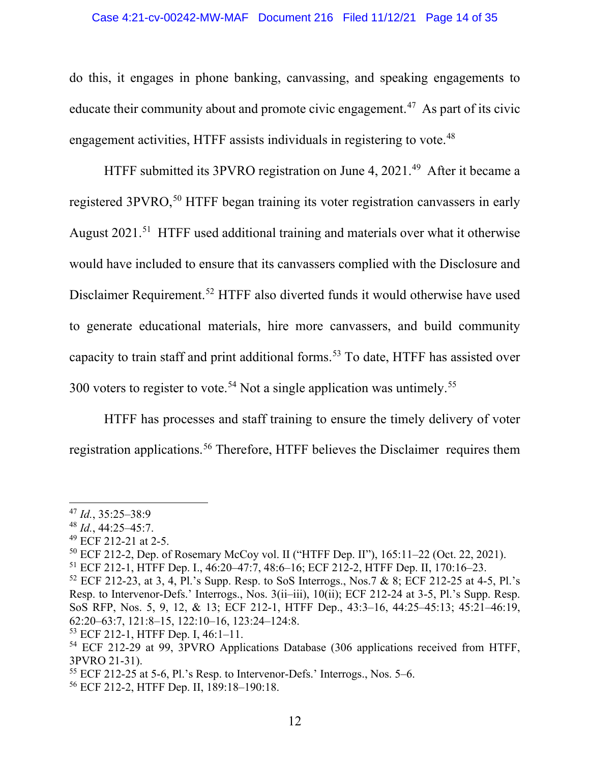#### Case 4:21-cv-00242-MW-MAF Document 216 Filed 11/12/21 Page 14 of 35

do this, it engages in phone banking, canvassing, and speaking engagements to educate their community about and promote civic engagement.<sup>47</sup> As part of its civic engagement activities, HTFF assists individuals in registering to vote.<sup>48</sup>

HTFF submitted its 3PVRO registration on June 4, 2021.<sup>49</sup> After it became a registered 3PVRO,<sup>[50](#page-13-3)</sup> HTFF began training its voter registration canvassers in early August 2021. [51](#page-13-4) HTFF used additional training and materials over what it otherwise would have included to ensure that its canvassers complied with the Disclosure and Disclaimer Requirement. [52](#page-13-5) HTFF also diverted funds it would otherwise have used to generate educational materials, hire more canvassers, and build community capacity to train staff and print additional forms.<sup>[53](#page-13-6)</sup> To date, HTFF has assisted over 300 voters to register to vote.<sup>[54](#page-13-7)</sup> Not a single application was untimely.<sup>[55](#page-13-8)</sup>

HTFF has processes and staff training to ensure the timely delivery of voter registration applications.[56](#page-13-9) Therefore, HTFF believes the Disclaimer requires them

<span id="page-13-0"></span><sup>47</sup> *Id.*, 35:25–38:9

<span id="page-13-1"></span><sup>48</sup> *Id.*, 44:25–45:7.

<span id="page-13-2"></span><sup>49</sup> ECF 212-21 at 2-5.

<span id="page-13-3"></span><sup>50</sup> ECF 212-2, Dep. of Rosemary McCoy vol. II ("HTFF Dep. II"), 165:11–22 (Oct. 22, 2021).

<span id="page-13-4"></span><sup>51</sup> ECF 212-1, HTFF Dep. I., 46:20–47:7, 48:6–16; ECF 212-2, HTFF Dep. II, 170:16–23.

<span id="page-13-5"></span> $52$  ECF 212-23, at 3, 4, Pl.'s Supp. Resp. to SoS Interrogs., Nos.7 & 8; ECF 212-25 at 4-5, Pl.'s Resp. to Intervenor-Defs.' Interrogs., Nos. 3(ii–iii), 10(ii); ECF 212-24 at 3-5, Pl.'s Supp. Resp. SoS RFP, Nos. 5, 9, 12, & 13; ECF 212-1, HTFF Dep., 43:3–16, 44:25–45:13; 45:21–46:19, 62:20–63:7, 121:8–15, 122:10–16, 123:24–124:8.

<span id="page-13-6"></span><sup>53</sup> ECF 212-1, HTFF Dep. I, 46:1–11.

<span id="page-13-7"></span><sup>54</sup> ECF 212-29 at 99, 3PVRO Applications Database (306 applications received from HTFF, 3PVRO 21-31).

<span id="page-13-8"></span><sup>55</sup> ECF 212-25 at 5-6, Pl.'s Resp. to Intervenor-Defs.' Interrogs., Nos. 5–6.

<span id="page-13-9"></span><sup>56</sup> ECF 212-2, HTFF Dep. II, 189:18–190:18.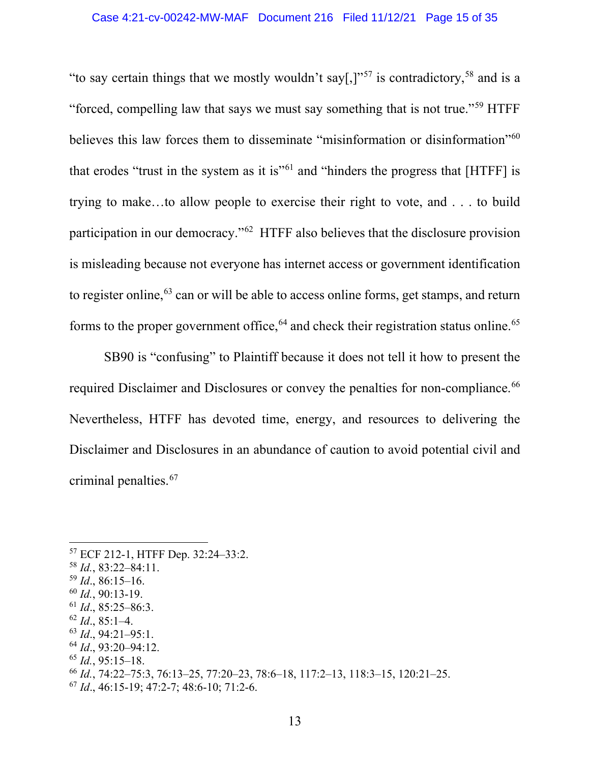"to say certain things that we mostly wouldn't say[,]"<sup>[57](#page-14-0)</sup> is contradictory,<sup>[58](#page-14-1)</sup> and is a "forced, compelling law that says we must say something that is not true."[59](#page-14-2) HTFF believes this law forces them to disseminate "misinformation or disinformation"<sup>[60](#page-14-3)</sup> that erodes "trust in the system as it is"<sup> $61$ </sup> and "hinders the progress that [HTFF] is trying to make…to allow people to exercise their right to vote, and . . . to build participation in our democracy."[62](#page-14-5) HTFF also believes that the disclosure provision is misleading because not everyone has internet access or government identification to register online,<sup>[63](#page-14-6)</sup> can or will be able to access online forms, get stamps, and return forms to the proper government office,  $64$  and check their registration status online.  $65$ 

SB90 is "confusing" to Plaintiff because it does not tell it how to present the required Disclaimer and Disclosures or convey the penalties for non-compliance.<sup>[66](#page-14-9)</sup> Nevertheless, HTFF has devoted time, energy, and resources to delivering the Disclaimer and Disclosures in an abundance of caution to avoid potential civil and criminal penalties. [67](#page-14-10)

<span id="page-14-5"></span> $62$  *Id.*, 85:1–4.

<span id="page-14-8"></span><sup>65</sup> *Id.*, 95:15–18.

<span id="page-14-0"></span><sup>57</sup> ECF 212-1, HTFF Dep. 32:24–33:2.

<span id="page-14-1"></span><sup>58</sup> *Id.*, 83:22–84:11.

<span id="page-14-2"></span><sup>59</sup> *Id*., 86:15–16.

<span id="page-14-3"></span><sup>60</sup> *Id.*, 90:13-19.

<span id="page-14-4"></span> $^{61}$  *Id.*, 85:25–86:3.

<span id="page-14-6"></span><sup>63</sup> *Id*., 94:21–95:1.

<span id="page-14-7"></span><sup>64</sup> *Id*., 93:20–94:12.

<span id="page-14-9"></span><sup>66</sup> *Id.*, 74:22–75:3, 76:13–25, 77:20–23, 78:6–18, 117:2–13, 118:3–15, 120:21–25.

<span id="page-14-10"></span><sup>67</sup> *Id*., 46:15-19; 47:2-7; 48:6-10; 71:2-6.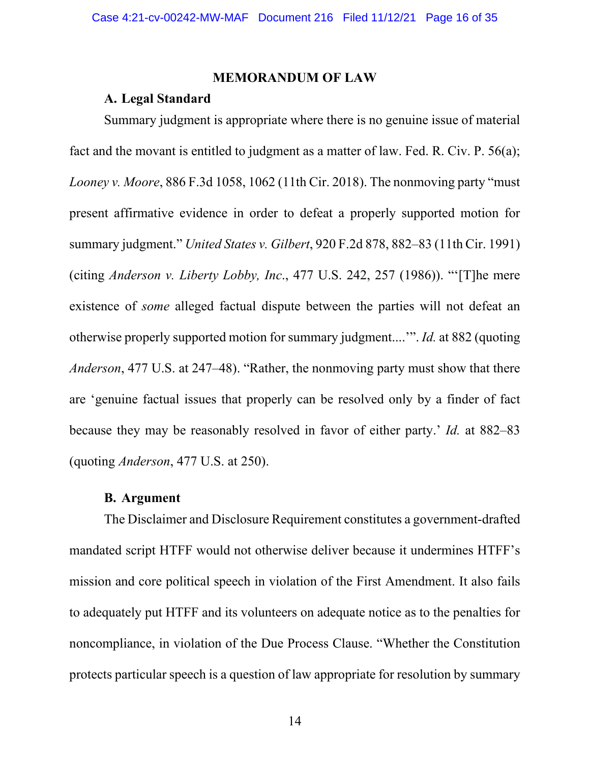#### **MEMORANDUM OF LAW**

## <span id="page-15-0"></span>**A. Legal Standard**

<span id="page-15-1"></span>Summary judgment is appropriate where there is no genuine issue of material fact and the movant is entitled to judgment as a matter of law. Fed. R. Civ. P. 56(a); *Looney v. Moore*, 886 F.3d 1058, 1062 (11th Cir. 2018). The nonmoving party "must present affirmative evidence in order to defeat a properly supported motion for summary judgment." *United States v. Gilbert*, 920 F.2d 878, 882–83 (11th Cir. 1991) (citing *Anderson v. Liberty Lobby, Inc*., 477 U.S. 242, 257 (1986)). "'[T]he mere existence of *some* alleged factual dispute between the parties will not defeat an otherwise properly supported motion for summary judgment....'". *Id.* at 882 (quoting *Anderson*, 477 U.S. at 247–48). "Rather, the nonmoving party must show that there are 'genuine factual issues that properly can be resolved only by a finder of fact because they may be reasonably resolved in favor of either party.' *Id.* at 882–83 (quoting *Anderson*, 477 U.S. at 250).

## **B. Argument**

<span id="page-15-2"></span>The Disclaimer and Disclosure Requirement constitutes a government-drafted mandated script HTFF would not otherwise deliver because it undermines HTFF's mission and core political speech in violation of the First Amendment. It also fails to adequately put HTFF and its volunteers on adequate notice as to the penalties for noncompliance, in violation of the Due Process Clause. "Whether the Constitution protects particular speech is a question of law appropriate for resolution by summary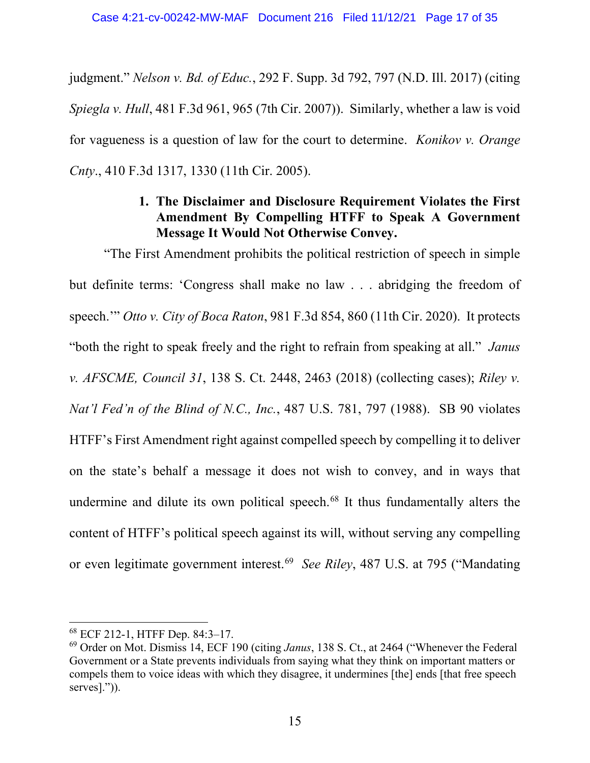judgment." *Nelson v. Bd. of Educ.*, 292 F. Supp. 3d 792, 797 (N.D. Ill. 2017) (citing *Spiegla v. Hull*, 481 F.3d 961, 965 (7th Cir. 2007)). Similarly, whether a law is void for vagueness is a question of law for the court to determine. *Konikov v. Orange Cnty*., 410 F.3d 1317, 1330 (11th Cir. 2005).

# **1. The Disclaimer and Disclosure Requirement Violates the First Amendment By Compelling HTFF to Speak A Government Message It Would Not Otherwise Convey.**

<span id="page-16-0"></span>"The First Amendment prohibits the political restriction of speech in simple but definite terms: 'Congress shall make no law . . . abridging the freedom of speech.'" *Otto v. City of Boca Raton*, 981 F.3d 854, 860 (11th Cir. 2020). It protects "both the right to speak freely and the right to refrain from speaking at all." *Janus v. AFSCME, Council 31*, 138 S. Ct. 2448, 2463 (2018) (collecting cases); *Riley v. Nat'l Fed'n of the Blind of N.C., Inc.*, 487 U.S. 781, 797 (1988). SB 90 violates HTFF's First Amendment right against compelled speech by compelling it to deliver on the state's behalf a message it does not wish to convey, and in ways that undermine and dilute its own political speech.<sup>[68](#page-16-1)</sup> It thus fundamentally alters the content of HTFF's political speech against its will, without serving any compelling or even legitimate government interest.[69](#page-16-2) *See Riley*, 487 U.S. at 795 ("Mandating

<span id="page-16-1"></span><sup>68</sup> ECF 212-1, HTFF Dep. 84:3–17.

<span id="page-16-2"></span><sup>69</sup> Order on Mot. Dismiss 14, ECF 190 (citing *Janus*, 138 S. Ct., at 2464 ("Whenever the Federal Government or a State prevents individuals from saying what they think on important matters or compels them to voice ideas with which they disagree, it undermines [the] ends [that free speech serves].")).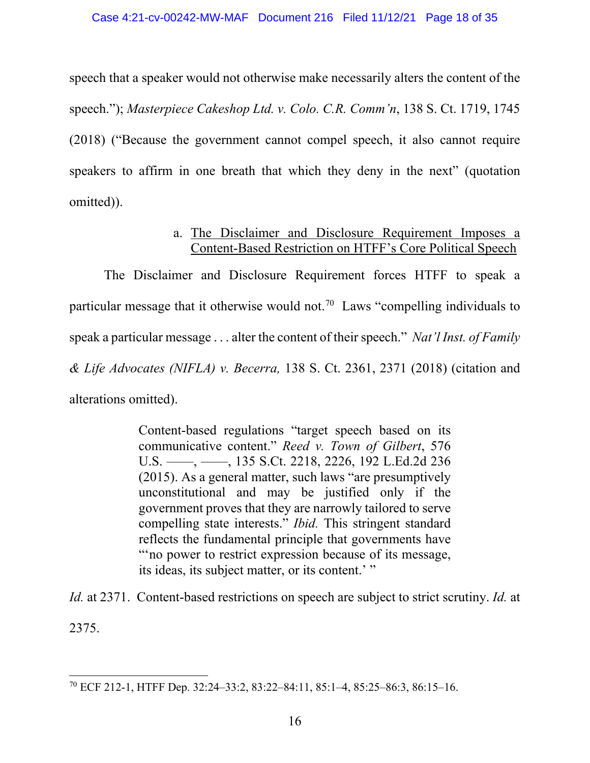speech that a speaker would not otherwise make necessarily alters the content of the speech."); *Masterpiece Cakeshop Ltd. v. Colo. C.R. Comm'n*, 138 S. Ct. 1719, 1745 (2018) ("Because the government cannot compel speech, it also cannot require speakers to affirm in one breath that which they deny in the next" (quotation omitted)).

# a. The Disclaimer and Disclosure Requirement Imposes a Content-Based Restriction on HTFF's Core Political Speech

The Disclaimer and Disclosure Requirement forces HTFF to speak a particular message that it otherwise would not.<sup>70</sup> Laws "compelling individuals to speak a particular message . . . alter the content of their speech." *Nat'l Inst. of Family & Life Advocates (NIFLA) v. Becerra,* 138 S. Ct. 2361, 2371 (2018) (citation and alterations omitted).

> Content-based regulations "target speech based on its communicative content." *Reed v. Town of Gilbert*, 576 U.S. ––––, ––––, 135 S.Ct. 2218, 2226, 192 L.Ed.2d 236 (2015). As a general matter, such laws "are presumptively unconstitutional and may be justified only if the government proves that they are narrowly tailored to serve compelling state interests." *Ibid.* This stringent standard reflects the fundamental principle that governments have "'no power to restrict expression because of its message, its ideas, its subject matter, or its content.' "

*Id.* at 2371. Content-based restrictions on speech are subject to strict scrutiny. *Id.* at 2375.

<span id="page-17-0"></span><sup>70</sup> ECF 212-1, HTFF Dep. 32:24–33:2, 83:22–84:11, 85:1–4, 85:25–86:3, 86:15–16.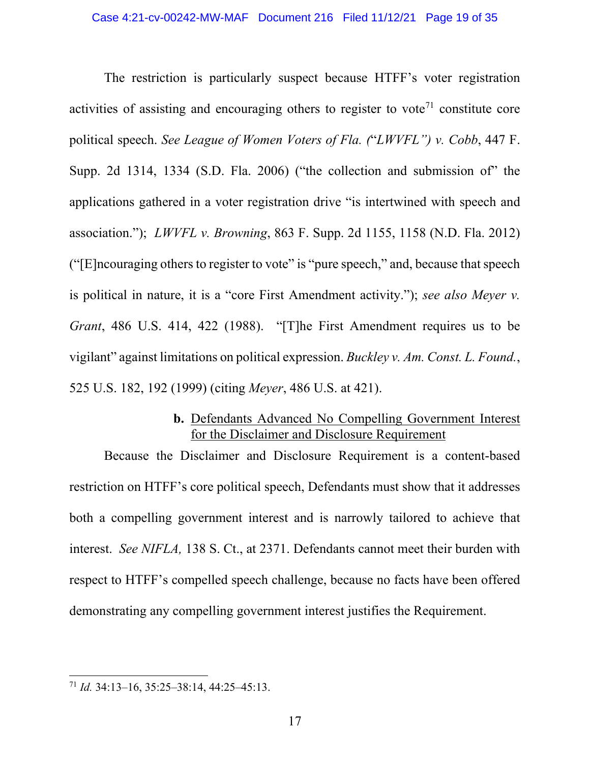The restriction is particularly suspect because HTFF's voter registration activities of assisting and encouraging others to register to vote<sup> $71$ </sup> constitute core political speech. *See League of Women Voters of Fla. (*"*LWVFL") v. Cobb*, 447 F. Supp. 2d 1314, 1334 (S.D. Fla. 2006) ("the collection and submission of" the applications gathered in a voter registration drive "is intertwined with speech and association."); *LWVFL v. Browning*, 863 F. Supp. 2d 1155, 1158 (N.D. Fla. 2012) ("[E]ncouraging others to register to vote" is "pure speech," and, because that speech is political in nature, it is a "core First Amendment activity."); *see also Meyer v. Grant*, 486 U.S. 414, 422 (1988). "[T]he First Amendment requires us to be vigilant" against limitations on political expression. *Buckley v. Am. Const. L. Found.*, 525 U.S. 182, 192 (1999) (citing *Meyer*, 486 U.S. at 421).

## **b.** Defendants Advanced No Compelling Government Interest for the Disclaimer and Disclosure Requirement

Because the Disclaimer and Disclosure Requirement is a content-based restriction on HTFF's core political speech, Defendants must show that it addresses both a compelling government interest and is narrowly tailored to achieve that interest. *See NIFLA,* 138 S. Ct., at 2371. Defendants cannot meet their burden with respect to HTFF's compelled speech challenge, because no facts have been offered demonstrating any compelling government interest justifies the Requirement.

<span id="page-18-0"></span><sup>71</sup> *Id.* 34:13–16, 35:25–38:14, 44:25–45:13.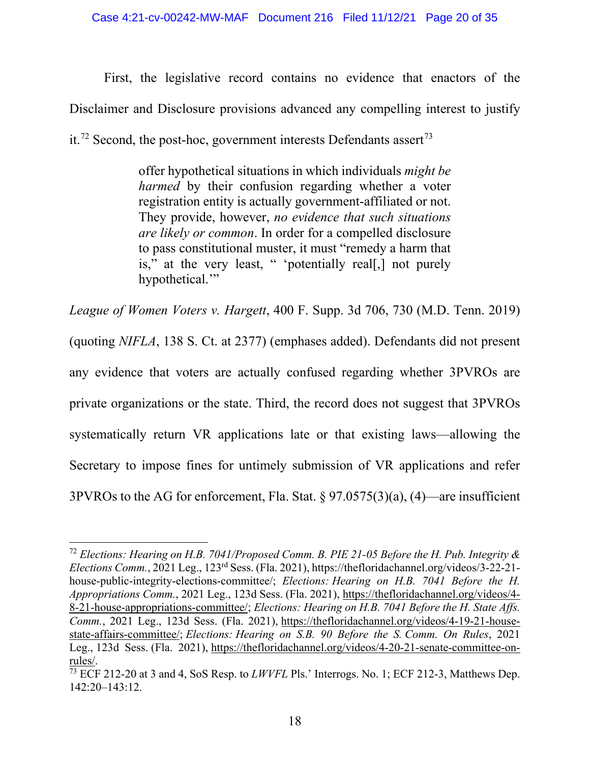First, the legislative record contains no evidence that enactors of the Disclaimer and Disclosure provisions advanced any compelling interest to justify it.<sup>[72](#page-19-0)</sup> Second, the post-hoc, government interests Defendants assert<sup>[73](#page-19-1)</sup>

> offer hypothetical situations in which individuals *might be harmed* by their confusion regarding whether a voter registration entity is actually government-affiliated or not. They provide, however, *no evidence that such situations are likely or common*. In order for a compelled disclosure to pass constitutional muster, it must "remedy a harm that is," at the very least, " 'potentially real[,] not purely hypothetical."

*League of Women Voters v. Hargett*, 400 F. Supp. 3d 706, 730 (M.D. Tenn. 2019) (quoting *NIFLA*, 138 S. Ct. at 2377) (emphases added). Defendants did not present any evidence that voters are actually confused regarding whether 3PVROs are private organizations or the state. Third, the record does not suggest that 3PVROs systematically return VR applications late or that existing laws—allowing the Secretary to impose fines for untimely submission of VR applications and refer 3PVROs to the AG for enforcement, Fla. Stat. § 97.0575(3)(a), (4)—are insufficient

<span id="page-19-0"></span><sup>72</sup> *Elections: Hearing on H.B. 7041/Proposed Comm. B. PIE 21-05 Before the H. Pub. Integrity & Elections Comm.*, 2021 Leg., 123rd Sess. (Fla. 2021), https://thefloridachannel.org/videos/3-22-21 house-public-integrity-elections-committee/; *Elections: Hearing on H.B. 7041 Before the H. Appropriations Comm.*, 2021 Leg., 123d Sess. (Fla. 2021), [https://thefloridachannel.org/videos/4-](https://thefloridachannel.org/videos/4-8-21-house-appropriations-committee/) [8-21-house-appropriations-committee/;](https://thefloridachannel.org/videos/4-8-21-house-appropriations-committee/) *Elections: Hearing on H.B. 7041 Before the H. State Affs. Comm.*, 2021 Leg., 123d Sess. (Fla. 2021), [https://thefloridachannel.org/videos/4-19-21-house](https://thefloridachannel.org/videos/4-19-21-house-state-affairs-committee/)[state-affairs-committee/;](https://thefloridachannel.org/videos/4-19-21-house-state-affairs-committee/) *Elections: Hearing on S.B. 90 Before the S. Comm. On Rules*, 2021 Leg., 123d Sess. (Fla. 2021), [https://thefloridachannel.org/videos/4-20-21-senate-committee-on](https://thefloridachannel.org/videos/4-20-21-senate-committee-on-rules/)[rules/.](https://thefloridachannel.org/videos/4-20-21-senate-committee-on-rules/)

<span id="page-19-1"></span><sup>73</sup> ECF 212-20 at 3 and 4, SoS Resp. to *LWVFL* Pls.' Interrogs. No. 1; ECF 212-3, Matthews Dep. 142:20–143:12.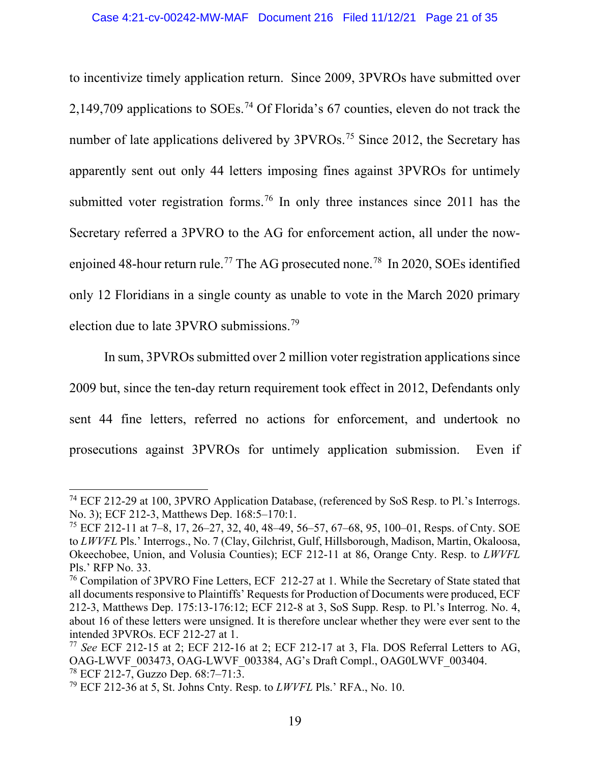to incentivize timely application return. Since 2009, 3PVROs have submitted over 2,149,709 applications to SOEs. [74](#page-20-0) Of Florida's 67 counties, eleven do not track the number of late applications delivered by 3PVROs.<sup>[75](#page-20-1)</sup> Since 2012, the Secretary has apparently sent out only 44 letters imposing fines against 3PVROs for untimely submitted voter registration forms.<sup>[76](#page-20-2)</sup> In only three instances since 2011 has the Secretary referred a 3PVRO to the AG for enforcement action, all under the now-enjoined 48-hour return rule.<sup>[77](#page-20-3)</sup> The AG prosecuted none.<sup>[78](#page-20-4)</sup> In 2020, SOEs identified only 12 Floridians in a single county as unable to vote in the March 2020 primary election due to late 3PVRO submissions.<sup>[79](#page-20-5)</sup>

In sum, 3PVROs submitted over 2 million voter registration applications since 2009 but, since the ten-day return requirement took effect in 2012, Defendants only sent 44 fine letters, referred no actions for enforcement, and undertook no prosecutions against 3PVROs for untimely application submission. Even if

<span id="page-20-0"></span><sup>74</sup> ECF 212-29 at 100, 3PVRO Application Database, (referenced by SoS Resp. to Pl.'s Interrogs. No. 3); ECF 212-3, Matthews Dep. 168:5–170:1.

<span id="page-20-1"></span><sup>&</sup>lt;sup>75</sup> ECF 212-11 at 7–8, 17, 26–27, 32, 40, 48–49, 56–57, 67–68, 95, 100–01, Resps. of Cnty. SOE to *LWVFL* Pls.' Interrogs., No. 7 (Clay, Gilchrist, Gulf, Hillsborough, Madison, Martin, Okaloosa, Okeechobee, Union, and Volusia Counties); ECF 212-11 at 86, Orange Cnty. Resp. to *LWVFL* Pls.' RFP No. 33.

<span id="page-20-2"></span><sup>76</sup> Compilation of 3PVRO Fine Letters, ECF 212-27 at 1. While the Secretary of State stated that all documents responsive to Plaintiffs' Requests for Production of Documents were produced, ECF 212-3, Matthews Dep. 175:13-176:12; ECF 212-8 at 3, SoS Supp. Resp. to Pl.'s Interrog. No. 4, about 16 of these letters were unsigned. It is therefore unclear whether they were ever sent to the intended 3PVROs. ECF 212-27 at 1.

<span id="page-20-3"></span><sup>77</sup> *See* ECF 212-15 at 2; ECF 212-16 at 2; ECF 212-17 at 3, Fla. DOS Referral Letters to AG, OAG-LWVF\_003473, OAG-LWVF\_003384, AG's Draft Compl., OAG0LWVF\_003404. <sup>78</sup> ECF 212-7, Guzzo Dep. 68:7–71:3.

<span id="page-20-5"></span><span id="page-20-4"></span><sup>79</sup> ECF 212-36 at 5, St. Johns Cnty. Resp. to *LWVFL* Pls.' RFA., No. 10.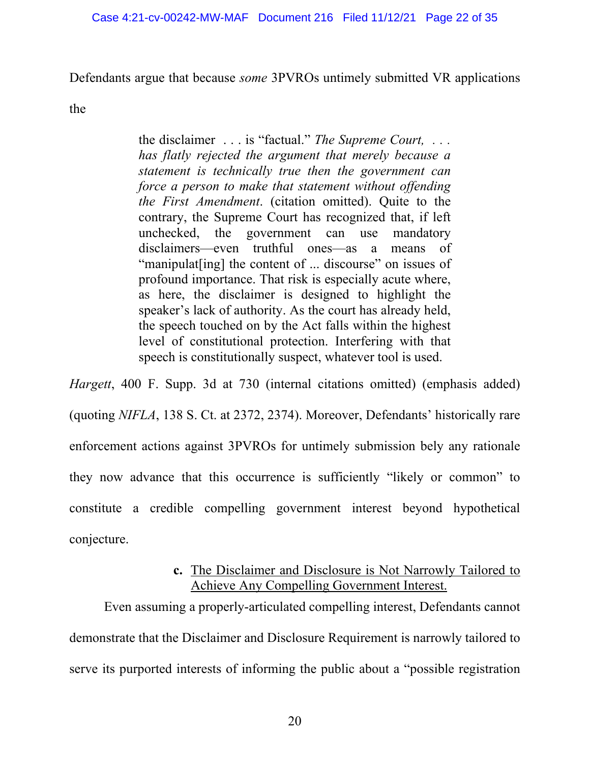Defendants argue that because *some* 3PVROs untimely submitted VR applications

the

the disclaimer . . . is "factual." *The Supreme Court, . . . has flatly rejected the argument that merely because a statement is technically true then the government can force a person to make that statement without offending the First Amendment*. (citation omitted). Quite to the contrary, the Supreme Court has recognized that, if left unchecked, the government can use mandatory disclaimers—even truthful ones—as a means of "manipulat [ing] the content of ... discourse" on issues of profound importance. That risk is especially acute where, as here, the disclaimer is designed to highlight the speaker's lack of authority. As the court has already held, the speech touched on by the Act falls within the highest level of constitutional protection. Interfering with that speech is constitutionally suspect, whatever tool is used.

*Hargett*, 400 F. Supp. 3d at 730 (internal citations omitted) (emphasis added) (quoting *NIFLA*, 138 S. Ct. at 2372, 2374). Moreover, Defendants' historically rare enforcement actions against 3PVROs for untimely submission bely any rationale they now advance that this occurrence is sufficiently "likely or common" to constitute a credible compelling government interest beyond hypothetical conjecture.

# **c.** The Disclaimer and Disclosure is Not Narrowly Tailored to Achieve Any Compelling Government Interest.

Even assuming a properly-articulated compelling interest, Defendants cannot demonstrate that the Disclaimer and Disclosure Requirement is narrowly tailored to serve its purported interests of informing the public about a "possible registration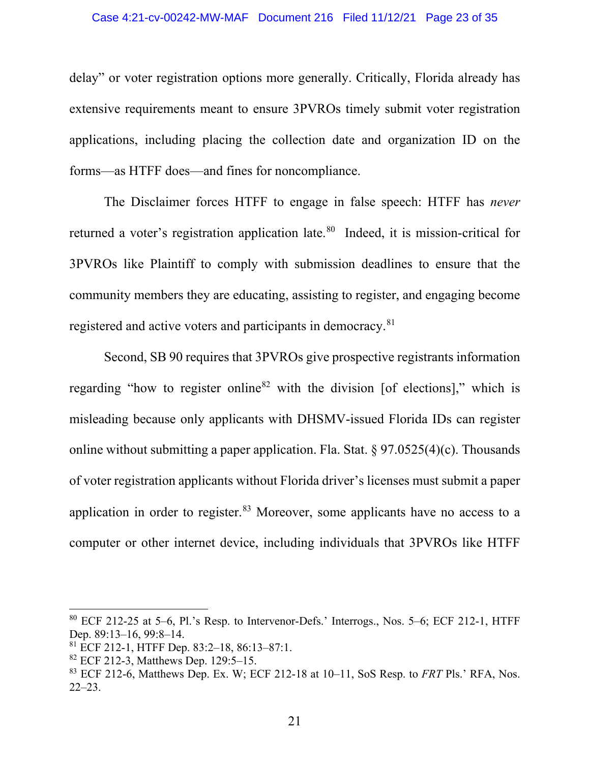#### Case 4:21-cv-00242-MW-MAF Document 216 Filed 11/12/21 Page 23 of 35

delay" or voter registration options more generally. Critically, Florida already has extensive requirements meant to ensure 3PVROs timely submit voter registration applications, including placing the collection date and organization ID on the forms—as HTFF does—and fines for noncompliance.

The Disclaimer forces HTFF to engage in false speech: HTFF has *never* returned a voter's registration application late.<sup>80</sup> Indeed, it is mission-critical for 3PVROs like Plaintiff to comply with submission deadlines to ensure that the community members they are educating, assisting to register, and engaging become registered and active voters and participants in democracy.[81](#page-22-1)

Second, SB 90 requires that 3PVROs give prospective registrants information regarding "how to register online<sup>[82](#page-22-2)</sup> with the division [of elections]," which is misleading because only applicants with DHSMV-issued Florida IDs can register online without submitting a paper application. Fla. Stat.  $\S 97.0525(4)(c)$ . Thousands of voter registration applicants without Florida driver's licenses must submit a paper application in order to register.<sup>[83](#page-22-3)</sup> Moreover, some applicants have no access to a computer or other internet device, including individuals that 3PVROs like HTFF

<span id="page-22-0"></span> $80$  ECF 212-25 at 5–6, Pl.'s Resp. to Intervenor-Defs.' Interrogs., Nos. 5–6; ECF 212-1, HTFF Dep. 89:13–16, 99:8–14.

<span id="page-22-1"></span><sup>81</sup> ECF 212-1, HTFF Dep. 83:2–18, 86:13–87:1.

<span id="page-22-2"></span><sup>82</sup> ECF 212-3, Matthews Dep. 129:5–15.

<span id="page-22-3"></span><sup>83</sup> ECF 212-6, Matthews Dep. Ex. W; ECF 212-18 at 10–11, SoS Resp. to *FRT* Pls.' RFA, Nos. 22–23.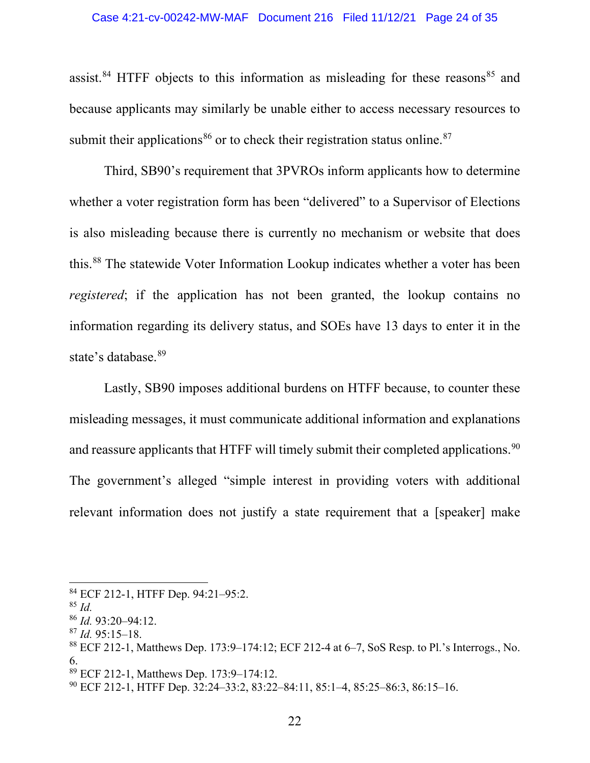assist.<sup>[84](#page-23-0)</sup> HTFF objects to this information as misleading for these reasons<sup>[85](#page-23-1)</sup> and because applicants may similarly be unable either to access necessary resources to submit their applications<sup>[86](#page-23-2)</sup> or to check their registration status online.<sup>[87](#page-23-3)</sup>

Third, SB90's requirement that 3PVROs inform applicants how to determine whether a voter registration form has been "delivered" to a Supervisor of Elections is also misleading because there is currently no mechanism or website that does this. [88](#page-23-4) The statewide Voter Information Lookup indicates whether a voter has been *registered*; if the application has not been granted, the lookup contains no information regarding its delivery status, and SOEs have 13 days to enter it in the state's database.<sup>[89](#page-23-5)</sup>

Lastly, SB90 imposes additional burdens on HTFF because, to counter these misleading messages, it must communicate additional information and explanations and reassure applicants that HTFF will timely submit their completed applications.<sup>[90](#page-23-6)</sup> The government's alleged "simple interest in providing voters with additional relevant information does not justify a state requirement that a [speaker] make

<span id="page-23-0"></span><sup>84</sup> ECF 212-1, HTFF Dep. 94:21–95:2.

<span id="page-23-1"></span><sup>85</sup> *Id.*

<span id="page-23-2"></span><sup>86</sup> *Id.* 93:20–94:12.

<span id="page-23-3"></span><sup>87</sup> *Id.* 95:15–18.

<span id="page-23-4"></span><sup>88</sup> ECF 212-1, Matthews Dep. 173:9–174:12; ECF 212-4 at 6–7, SoS Resp. to Pl.'s Interrogs., No. 6.

<span id="page-23-5"></span><sup>89</sup> ECF 212-1, Matthews Dep. 173:9–174:12.

<span id="page-23-6"></span><sup>90</sup> ECF 212-1, HTFF Dep. 32:24–33:2, 83:22–84:11, 85:1–4, 85:25–86:3, 86:15–16.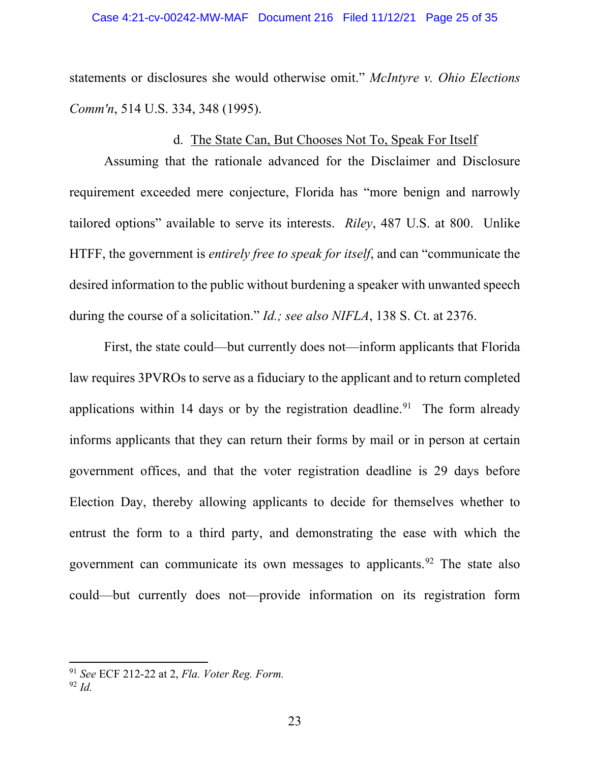statements or disclosures she would otherwise omit." *McIntyre v. Ohio Elections Comm'n*, 514 U.S. 334, 348 (1995).

## d. The State Can, But Chooses Not To, Speak For Itself

Assuming that the rationale advanced for the Disclaimer and Disclosure requirement exceeded mere conjecture, Florida has "more benign and narrowly tailored options" available to serve its interests. *Riley*, 487 U.S. at 800. Unlike HTFF, the government is *entirely free to speak for itself*, and can "communicate the desired information to the public without burdening a speaker with unwanted speech during the course of a solicitation." *Id.; see also NIFLA*, 138 S. Ct. at 2376.

First, the state could—but currently does not—inform applicants that Florida law requires 3PVROs to serve as a fiduciary to the applicant and to return completed applications within 14 days or by the registration deadline.<sup>[91](#page-24-0)</sup> The form already informs applicants that they can return their forms by mail or in person at certain government offices, and that the voter registration deadline is 29 days before Election Day, thereby allowing applicants to decide for themselves whether to entrust the form to a third party, and demonstrating the ease with which the government can communicate its own messages to applicants.<sup>[92](#page-24-1)</sup> The state also could—but currently does not—provide information on its registration form

<span id="page-24-1"></span><span id="page-24-0"></span><sup>91</sup> *See* ECF 212-22 at 2, *Fla. Voter Reg. Form.* <sup>92</sup> *Id.*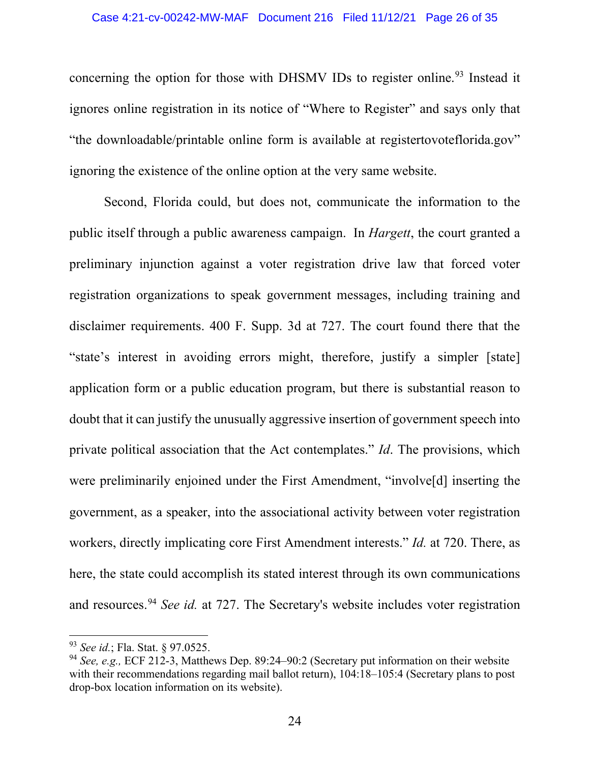concerning the option for those with DHSMV IDs to register online.<sup>[93](#page-25-0)</sup> Instead it ignores online registration in its notice of "Where to Register" and says only that "the downloadable/printable online form is available at registertovoteflorida.gov" ignoring the existence of the online option at the very same website.

Second, Florida could, but does not, communicate the information to the public itself through a public awareness campaign. In *Hargett*, the court granted a preliminary injunction against a voter registration drive law that forced voter registration organizations to speak government messages, including training and disclaimer requirements. 400 F. Supp. 3d at 727. The court found there that the "state's interest in avoiding errors might, therefore, justify a simpler [state] application form or a public education program, but there is substantial reason to doubt that it can justify the unusually aggressive insertion of government speech into private political association that the Act contemplates." *Id*. The provisions, which were preliminarily enjoined under the First Amendment, "involve<sup>[d]</sup> inserting the government, as a speaker, into the associational activity between voter registration workers, directly implicating core First Amendment interests." *Id.* at 720. There, as here, the state could accomplish its stated interest through its own communications and resources.<sup>[94](#page-25-1)</sup> *See id.* at 727. The Secretary's website includes voter registration

<span id="page-25-0"></span><sup>93</sup> *See id.*; Fla. Stat. § 97.0525.

<span id="page-25-1"></span><sup>94</sup> *See, e.g.,* ECF 212-3, Matthews Dep. 89:24–90:2 (Secretary put information on their website with their recommendations regarding mail ballot return), 104:18–105:4 (Secretary plans to post drop-box location information on its website).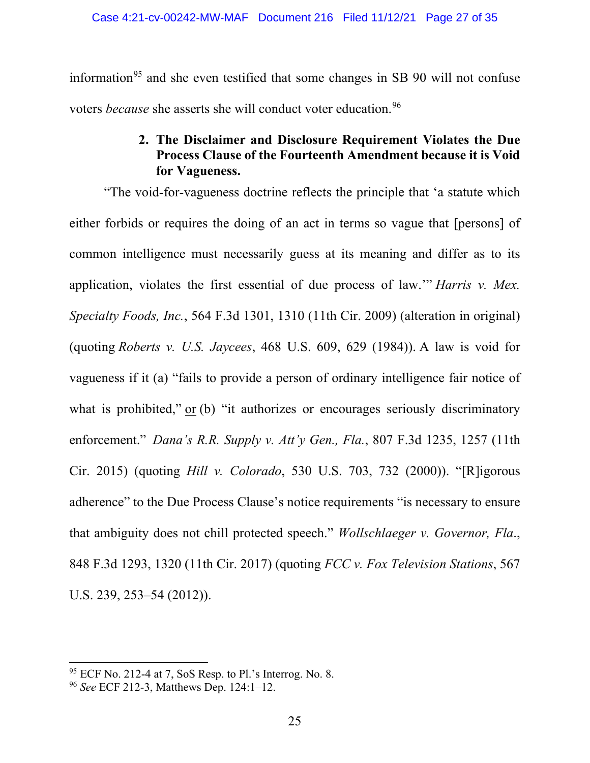information<sup>[95](#page-26-1)</sup> and she even testified that some changes in SB 90 will not confuse voters *because* she asserts she will conduct voter education.<sup>[96](#page-26-2)</sup>

# **2. The Disclaimer and Disclosure Requirement Violates the Due Process Clause of the Fourteenth Amendment because it is Void for Vagueness.**

<span id="page-26-0"></span>"The void-for-vagueness doctrine reflects the principle that 'a statute which either forbids or requires the doing of an act in terms so vague that [persons] of common intelligence must necessarily guess at its meaning and differ as to its application, violates the first essential of due process of law.'" *Harris v. Mex. Specialty Foods, Inc.*, 564 F.3d 1301, 1310 (11th Cir. 2009) (alteration in original) (quoting *Roberts v. U.S. Jaycees*, 468 U.S. 609, 629 (1984)). A law is void for vagueness if it (a) "fails to provide a person of ordinary intelligence fair notice of what is prohibited," or (b) "it authorizes or encourages seriously discriminatory enforcement." *Dana's R.R. Supply v. Att'y Gen., Fla.*, 807 F.3d 1235, 1257 (11th Cir. 2015) (quoting *Hill v. Colorado*, 530 U.S. 703, 732 (2000)). "[R]igorous adherence" to the Due Process Clause's notice requirements "is necessary to ensure that ambiguity does not chill protected speech." *Wollschlaeger v. Governor, Fla*., 848 F.3d 1293, 1320 (11th Cir. 2017) (quoting *FCC v. Fox Television Stations*, 567 U.S. 239, 253–54 (2012)).

<span id="page-26-1"></span> $95$  ECF No. 212-4 at 7, SoS Resp. to Pl.'s Interrog. No. 8.

<span id="page-26-2"></span><sup>96</sup> *See* ECF 212-3, Matthews Dep. 124:1–12.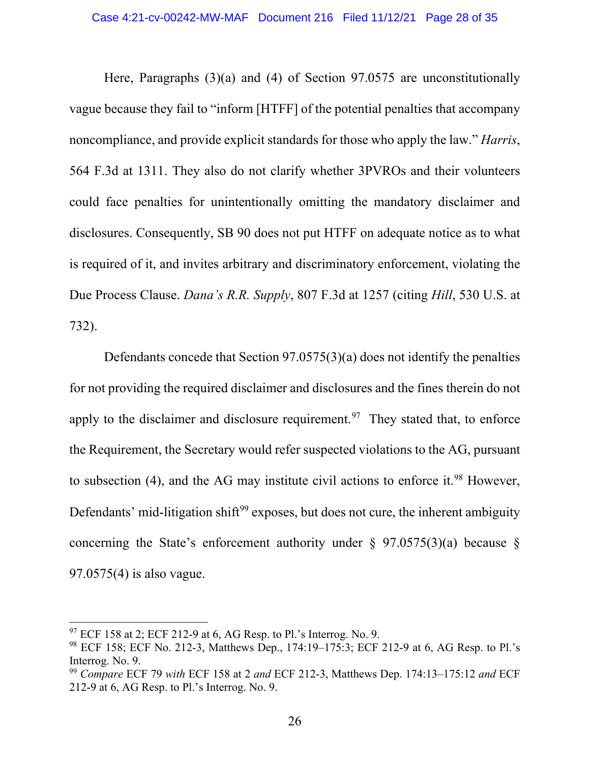Here, Paragraphs (3)(a) and (4) of Section 97.0575 are unconstitutionally vague because they fail to "inform [HTFF] of the potential penalties that accompany noncompliance, and provide explicit standards for those who apply the law." *Harris*, 564 F.3d at 1311. They also do not clarify whether 3PVROs and their volunteers could face penalties for unintentionally omitting the mandatory disclaimer and disclosures. Consequently, SB 90 does not put HTFF on adequate notice as to what is required of it, and invites arbitrary and discriminatory enforcement, violating the Due Process Clause. *Dana's R.R. Supply*, 807 F.3d at 1257 (citing *Hill*, 530 U.S. at 732).

Defendants concede that Section 97.0575(3)(a) does not identify the penalties for not providing the required disclaimer and disclosures and the fines therein do not apply to the disclaimer and disclosure requirement.<sup>[97](#page-27-0)</sup> They stated that, to enforce the Requirement, the Secretary would refer suspected violations to the AG, pursuant to subsection  $(4)$ , and the AG may institute civil actions to enforce it.<sup>[98](#page-27-1)</sup> However, Defendants' mid-litigation shift<sup>[99](#page-27-2)</sup> exposes, but does not cure, the inherent ambiguity concerning the State's enforcement authority under  $\S$  97.0575(3)(a) because  $\S$ 97.0575(4) is also vague.

<span id="page-27-0"></span> $97$  ECF 158 at 2; ECF 212-9 at 6, AG Resp. to Pl.'s Interrog. No. 9.

<span id="page-27-1"></span><sup>98</sup> ECF 158; ECF No. 212-3, Matthews Dep., 174:19–175:3; ECF 212-9 at 6, AG Resp. to Pl.'s Interrog. No. 9.

<span id="page-27-2"></span><sup>99</sup> *Compare* ECF 79 *with* ECF 158 at 2 *and* ECF 212-3, Matthews Dep. 174:13–175:12 *and* ECF 212-9 at 6, AG Resp. to Pl.'s Interrog. No. 9.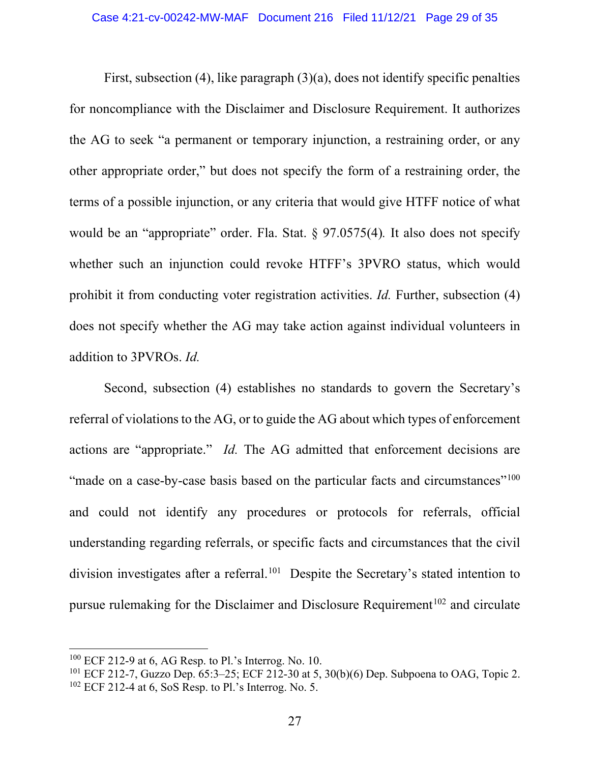First, subsection (4), like paragraph (3)(a), does not identify specific penalties for noncompliance with the Disclaimer and Disclosure Requirement. It authorizes the AG to seek "a permanent or temporary injunction, a restraining order, or any other appropriate order," but does not specify the form of a restraining order, the terms of a possible injunction, or any criteria that would give HTFF notice of what would be an "appropriate" order. Fla. Stat. § 97.0575(4)*.* It also does not specify whether such an injunction could revoke HTFF's 3PVRO status, which would prohibit it from conducting voter registration activities. *Id.* Further, subsection (4) does not specify whether the AG may take action against individual volunteers in addition to 3PVROs. *Id.*

Second, subsection (4) establishes no standards to govern the Secretary's referral of violations to the AG, or to guide the AG about which types of enforcement actions are "appropriate." *Id.* The AG admitted that enforcement decisions are "made on a case-by-case basis based on the particular facts and circumstances"<sup>[100](#page-28-0)</sup> and could not identify any procedures or protocols for referrals, official understanding regarding referrals, or specific facts and circumstances that the civil division investigates after a referral.<sup>101</sup> Despite the Secretary's stated intention to pursue rulemaking for the Disclaimer and Disclosure Requirement<sup>[102](#page-28-2)</sup> and circulate

<span id="page-28-0"></span><sup>100</sup> ECF 212-9 at 6, AG Resp. to Pl.'s Interrog. No. 10.

<span id="page-28-2"></span><span id="page-28-1"></span><sup>&</sup>lt;sup>101</sup> ECF 212-7, Guzzo Dep. 65:3-25; ECF 212-30 at 5, 30(b)(6) Dep. Subpoena to OAG, Topic 2.  $102$  ECF 212-4 at 6, SoS Resp. to Pl.'s Interrog. No. 5.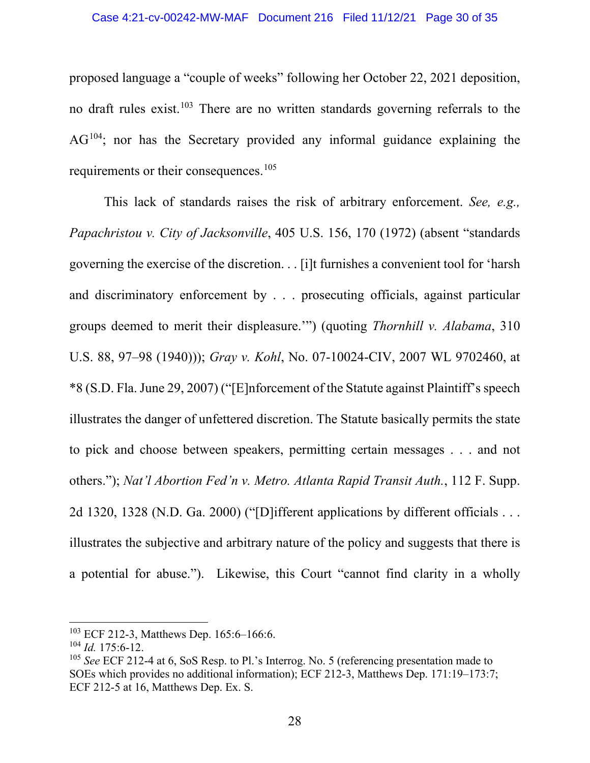#### Case 4:21-cv-00242-MW-MAF Document 216 Filed 11/12/21 Page 30 of 35

proposed language a "couple of weeks" following her October 22, 2021 deposition, no draft rules exist.<sup>[103](#page-29-0)</sup> There are no written standards governing referrals to the AG<sup>[104](#page-29-1)</sup>; nor has the Secretary provided any informal guidance explaining the requirements or their consequences.<sup>[105](#page-29-2)</sup>

This lack of standards raises the risk of arbitrary enforcement. *See, e.g., Papachristou v. City of Jacksonville*, 405 U.S. 156, 170 (1972) (absent "standards governing the exercise of the discretion. . . [i]t furnishes a convenient tool for 'harsh and discriminatory enforcement by . . . prosecuting officials, against particular groups deemed to merit their displeasure.'") (quoting *Thornhill v. Alabama*, 310 U.S. 88, 97–98 (1940))); *Gray v. Kohl*, No. 07-10024-CIV, 2007 WL 9702460, at \*8 (S.D. Fla. June 29, 2007) ("[E]nforcement of the Statute against Plaintiff's speech illustrates the danger of unfettered discretion. The Statute basically permits the state to pick and choose between speakers, permitting certain messages . . . and not others."); *Nat'l Abortion Fed'n v. Metro. Atlanta Rapid Transit Auth.*, 112 F. Supp. 2d 1320, 1328 (N.D. Ga. 2000) ("[D]ifferent applications by different officials . . . illustrates the subjective and arbitrary nature of the policy and suggests that there is a potential for abuse."). Likewise, this Court "cannot find clarity in a wholly

<span id="page-29-0"></span><sup>&</sup>lt;sup>103</sup> ECF 212-3, Matthews Dep. 165:6-166:6.

<span id="page-29-1"></span><sup>104</sup> *Id.* 175:6-12.

<span id="page-29-2"></span><sup>105</sup> *See* ECF 212-4 at 6, SoS Resp. to Pl.'s Interrog. No. 5 (referencing presentation made to SOEs which provides no additional information); ECF 212-3, Matthews Dep. 171:19–173:7; ECF 212-5 at 16, Matthews Dep. Ex. S.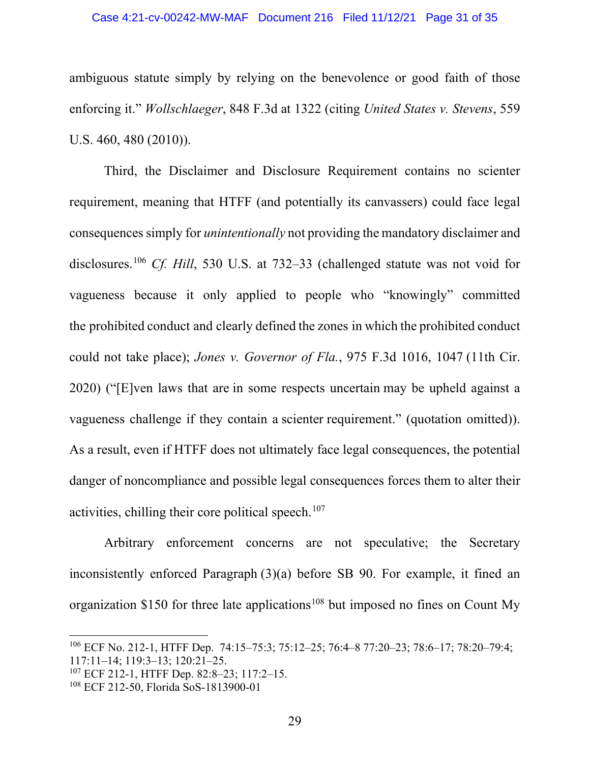ambiguous statute simply by relying on the benevolence or good faith of those enforcing it." *Wollschlaeger*, 848 F.3d at 1322 (citing *United States v. Stevens*, 559 U.S. 460, 480 (2010)).

Third, the Disclaimer and Disclosure Requirement contains no scienter requirement, meaning that HTFF (and potentially its canvassers) could face legal consequences simply for *unintentionally* not providing the mandatory disclaimer and disclosures.[106](#page-30-0) *Cf. Hill*, 530 U.S. at 732–33 (challenged statute was not void for vagueness because it only applied to people who "knowingly" committed the prohibited conduct and clearly defined the zones in which the prohibited conduct could not take place); *Jones v. Governor of Fla.*, 975 F.3d 1016, 1047 (11th Cir. 2020) ("[E]ven laws that are in some respects uncertain may be upheld against a vagueness challenge if they contain a scienter requirement." (quotation omitted)). As a result, even if HTFF does not ultimately face legal consequences, the potential danger of noncompliance and possible legal consequences forces them to alter their activities, chilling their core political speech. [107](#page-30-1)

Arbitrary enforcement concerns are not speculative; the Secretary inconsistently enforced Paragraph (3)(a) before SB 90. For example, it fined an organization \$150 for three late applications<sup>[108](#page-30-2)</sup> but imposed no fines on Count My

<span id="page-30-0"></span><sup>106</sup> ECF No. 212-1, HTFF Dep. 74:15–75:3; 75:12–25; 76:4–8 77:20–23; 78:6–17; 78:20–79:4; 117:11–14; 119:3–13; 120:21–25.

<span id="page-30-1"></span><sup>107</sup> ECF 212-1, HTFF Dep. 82:8–23; 117:2–15.

<span id="page-30-2"></span><sup>108</sup> ECF 212-50, Florida SoS-1813900-01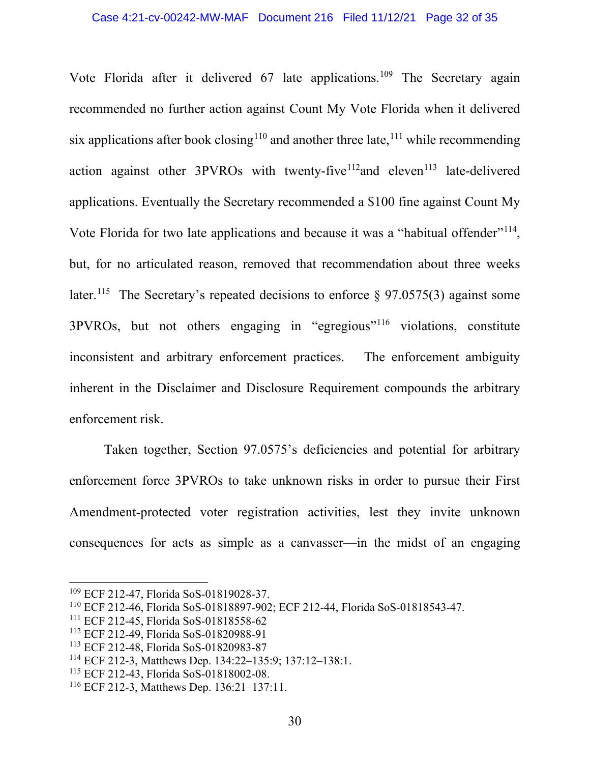Vote Florida after it delivered 67 late applications.<sup>[109](#page-31-0)</sup> The Secretary again recommended no further action against Count My Vote Florida when it delivered six applications after book closing<sup>[110](#page-31-1)</sup> and another three late, <sup>[111](#page-31-2)</sup> while recommending action against other  $3PVROs$  with twenty-five<sup>112</sup>and eleven<sup>[113](#page-31-4)</sup> late-delivered applications. Eventually the Secretary recommended a \$100 fine against Count My Vote Florida for two late applications and because it was a "habitual offender"<sup>114</sup>, but, for no articulated reason, removed that recommendation about three weeks later.<sup>[115](#page-31-6)</sup> The Secretary's repeated decisions to enforce  $\S$  97.0575(3) against some 3PVROs, but not others engaging in "egregious"[116](#page-31-7) violations, constitute inconsistent and arbitrary enforcement practices. The enforcement ambiguity inherent in the Disclaimer and Disclosure Requirement compounds the arbitrary enforcement risk.

Taken together, Section 97.0575's deficiencies and potential for arbitrary enforcement force 3PVROs to take unknown risks in order to pursue their First Amendment-protected voter registration activities, lest they invite unknown consequences for acts as simple as a canvasser—in the midst of an engaging

<span id="page-31-0"></span><sup>109</sup> ECF 212-47, Florida SoS-01819028-37.

<span id="page-31-1"></span><sup>110</sup> ECF 212-46, Florida SoS-01818897-902; ECF 212-44, Florida SoS-01818543-47.

<span id="page-31-2"></span><sup>111</sup> ECF 212-45, Florida SoS-01818558-62

<span id="page-31-3"></span><sup>112</sup> ECF 212-49, Florida SoS-01820988-91

<span id="page-31-4"></span><sup>113</sup> ECF 212-48, Florida SoS-01820983-87

<span id="page-31-5"></span><sup>114</sup> ECF 212-3, Matthews Dep. 134:22–135:9; 137:12–138:1.

<span id="page-31-6"></span><sup>115</sup> ECF 212-43, Florida SoS-01818002-08.

<span id="page-31-7"></span><sup>116</sup> ECF 212-3, Matthews Dep. 136:21–137:11.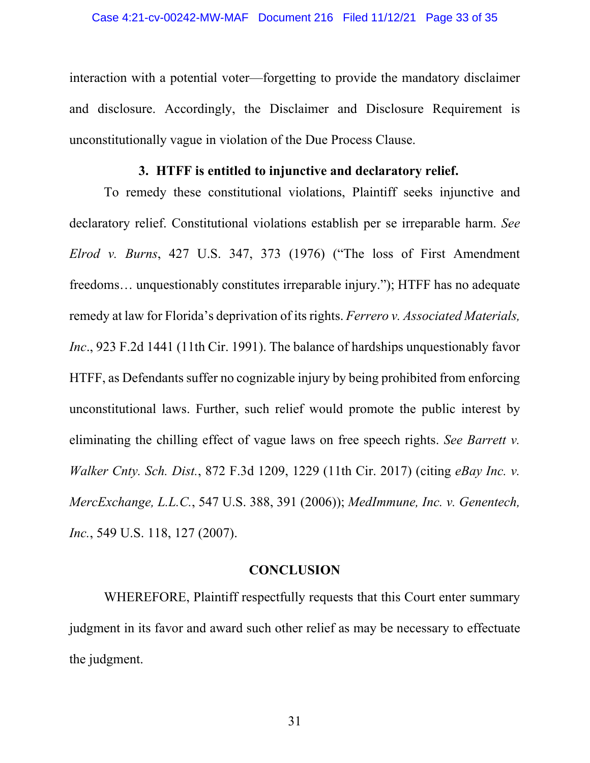interaction with a potential voter—forgetting to provide the mandatory disclaimer and disclosure. Accordingly, the Disclaimer and Disclosure Requirement is unconstitutionally vague in violation of the Due Process Clause.

## **3. HTFF is entitled to injunctive and declaratory relief.**

<span id="page-32-0"></span>To remedy these constitutional violations, Plaintiff seeks injunctive and declaratory relief. Constitutional violations establish per se irreparable harm. *See Elrod v. Burns*, 427 U.S. 347, 373 (1976) ("The loss of First Amendment freedoms… unquestionably constitutes irreparable injury."); HTFF has no adequate remedy at law for Florida's deprivation of its rights. *Ferrero v. Associated Materials, Inc*., 923 F.2d 1441 (11th Cir. 1991). The balance of hardships unquestionably favor HTFF, as Defendants suffer no cognizable injury by being prohibited from enforcing unconstitutional laws. Further, such relief would promote the public interest by eliminating the chilling effect of vague laws on free speech rights. *See Barrett v. Walker Cnty. Sch. Dist.*, 872 F.3d 1209, 1229 (11th Cir. 2017) (citing *eBay Inc. v. MercExchange, L.L.C.*, 547 U.S. 388, 391 (2006)); *MedImmune, Inc. v. Genentech, Inc.*, 549 U.S. 118, 127 (2007).

#### **CONCLUSION**

<span id="page-32-1"></span>WHEREFORE, Plaintiff respectfully requests that this Court enter summary judgment in its favor and award such other relief as may be necessary to effectuate the judgment.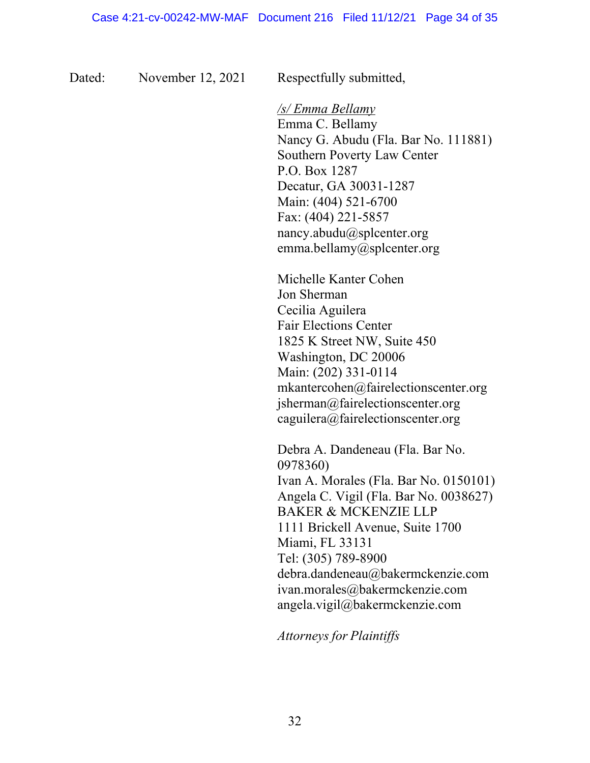Dated: November 12, 2021 Respectfully submitted,

*/s/ Emma Bellamy* Emma C. Bellamy Nancy G. Abudu (Fla. Bar No. 111881) Southern Poverty Law Center P.O. Box 1287 Decatur, GA 30031-1287 Main: (404) 521-6700 Fax: (404) 221-5857 [nancy.abudu@splcenter.org](mailto:nancy.abudu@splcenter.org) [emma.bellamy@splcenter.org](mailto:emma.bellamy@splcenter.org)

Michelle Kanter Cohen Jon Sherman Cecilia Aguilera Fair Elections Center 1825 K Street NW, Suite 450 Washington, DC 20006 Main: (202) 331-0114 [mkantercohen@fairelectionscenter.org](mailto:mkantercohen@fairelectionscenter.org) jsherman@fairelectionscenter.org [caguilera@fairelectionscenter.org](mailto:caguilera@fairelectionscenter.org)

Debra A. Dandeneau (Fla. Bar No. 0978360) Ivan A. Morales (Fla. Bar No. 0150101) Angela C. Vigil (Fla. Bar No. 0038627) BAKER & MCKENZIE LLP 1111 Brickell Avenue, Suite 1700 Miami, FL 33131 Tel: (305) 789-8900 [debra.dandeneau@bakermckenzie.com](mailto:debra.dandeneau@bakermckenzie.com) [ivan.morales@bakermckenzie.com](mailto:ivan.morales@bakermckenzie.com) [angela.vigil@bakermckenzie.com](mailto:angela.vigil@bakermckenzie.com)

*Attorneys for Plaintiffs*